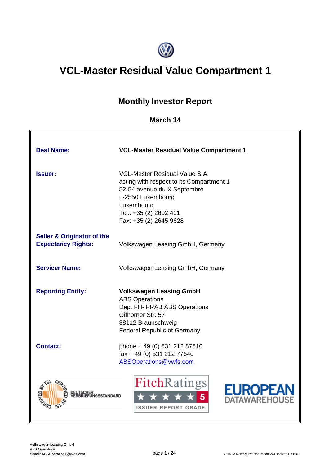

# **VCL-Master Residual Value Compartment 1**

# **Monthly Investor Report**

# **March 14**

| <b>Deal Name:</b>                                                  | <b>VCL-Master Residual Value Compartment 1</b>                                                                                                                                                          |
|--------------------------------------------------------------------|---------------------------------------------------------------------------------------------------------------------------------------------------------------------------------------------------------|
| <b>Issuer:</b>                                                     | <b>VCL-Master Residual Value S.A.</b><br>acting with respect to its Compartment 1<br>52-54 avenue du X Septembre<br>L-2550 Luxembourg<br>Luxembourg<br>Tel.: +35 (2) 2602 491<br>Fax: +35 (2) 2645 9628 |
| <b>Seller &amp; Originator of the</b><br><b>Expectancy Rights:</b> | Volkswagen Leasing GmbH, Germany                                                                                                                                                                        |
| <b>Servicer Name:</b>                                              | Volkswagen Leasing GmbH, Germany                                                                                                                                                                        |
| <b>Reporting Entity:</b>                                           | <b>Volkswagen Leasing GmbH</b><br><b>ABS Operations</b><br>Dep. FH- FRAB ABS Operations<br>Gifhorner Str. 57<br>38112 Braunschweig<br><b>Federal Republic of Germany</b>                                |
| <b>Contact:</b>                                                    | phone + 49 (0) 531 212 87510<br>fax + 49 (0) 531 212 77540<br>ABSOperations@vwfs.com                                                                                                                    |
| EUI SUITEN<br>FRARIEFUNGSSTANDARD                                  | <b>FitchRatings</b><br><b>EUROPEA</b><br>ATAWAREHOUS<br><b>ISSUER REPORT GRADE</b>                                                                                                                      |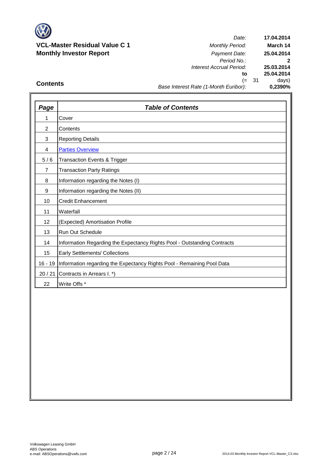

# **VCL-Master Residual Value C 1** *Monthly Period:* **Monthly Investor Report** *Payment Date:*

*Date: Period No.: Interest Accrual Period:* **to** (= 31 days) *Base Interest Rate (1-Month Euribor):* **25.03.2014 25.04.2014 0,2390% 17.04.2014 March 14 25.04.2014 2**

# **Contents**

| Page           | <b>Table of Contents</b>                                                 |
|----------------|--------------------------------------------------------------------------|
| 1              | Cover                                                                    |
| $\overline{2}$ | Contents                                                                 |
| 3              | <b>Reporting Details</b>                                                 |
| 4              | <b>Parties Overview</b>                                                  |
| 5/6            | <b>Transaction Events &amp; Trigger</b>                                  |
| $\overline{7}$ | <b>Transaction Party Ratings</b>                                         |
| 8              | Information regarding the Notes (I)                                      |
| 9              | Information regarding the Notes (II)                                     |
| 10             | <b>Credit Enhancement</b>                                                |
| 11             | Waterfall                                                                |
| 12             | (Expected) Amortisation Profile                                          |
| 13             | <b>Run Out Schedule</b>                                                  |
| 14             | Information Regarding the Expectancy Rights Pool - Outstanding Contracts |
| 15             | Early Settlements/ Collections                                           |
| $16 - 19$      | Information regarding the Expectancy Rights Pool - Remaining Pool Data   |
| 20/21          | Contracts in Arrears I. *)                                               |
| 22             | Write Offs *                                                             |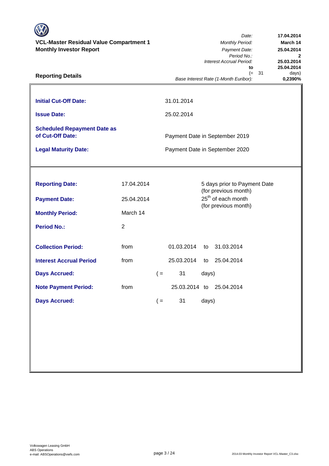| <b>VCL-Master Residual Value Compartment 1</b><br><b>Monthly Investor Report</b><br><b>Reporting Details</b> |            | Date:<br><b>Monthly Period:</b><br>Payment Date:<br>Period No.:<br>Interest Accrual Period:<br>to<br>- 31<br>$(=$ |                                                                  |       |                                                      |         |  |
|--------------------------------------------------------------------------------------------------------------|------------|-------------------------------------------------------------------------------------------------------------------|------------------------------------------------------------------|-------|------------------------------------------------------|---------|--|
|                                                                                                              |            |                                                                                                                   |                                                                  |       | Base Interest Rate (1-Month Euribor):                | 0,2390% |  |
| <b>Initial Cut-Off Date:</b>                                                                                 |            |                                                                                                                   | 31.01.2014                                                       |       |                                                      |         |  |
| <b>Issue Date:</b>                                                                                           |            |                                                                                                                   | 25.02.2014                                                       |       |                                                      |         |  |
| <b>Scheduled Repayment Date as</b><br>of Cut-Off Date:<br><b>Legal Maturity Date:</b>                        |            |                                                                                                                   | Payment Date in September 2019<br>Payment Date in September 2020 |       |                                                      |         |  |
|                                                                                                              |            |                                                                                                                   |                                                                  |       |                                                      |         |  |
|                                                                                                              |            |                                                                                                                   |                                                                  |       |                                                      |         |  |
| <b>Reporting Date:</b>                                                                                       | 17.04.2014 |                                                                                                                   |                                                                  |       | 5 days prior to Payment Date<br>(for previous month) |         |  |
| <b>Payment Date:</b>                                                                                         | 25.04.2014 |                                                                                                                   |                                                                  |       | 25 <sup>th</sup> of each month                       |         |  |
| <b>Monthly Period:</b>                                                                                       | March 14   |                                                                                                                   |                                                                  |       | (for previous month)                                 |         |  |
| <b>Period No.:</b>                                                                                           | 2          |                                                                                                                   |                                                                  |       |                                                      |         |  |
| <b>Collection Period:</b>                                                                                    | from       |                                                                                                                   | 01.03.2014                                                       | to    | 31.03.2014                                           |         |  |
| <b>Interest Accrual Period</b>                                                                               | from       |                                                                                                                   | 25.03.2014                                                       | to    | 25.04.2014                                           |         |  |
| <b>Days Accrued:</b>                                                                                         |            | $($ =                                                                                                             | 31                                                               | days) |                                                      |         |  |
| <b>Note Payment Period:</b>                                                                                  | from       |                                                                                                                   | 25.03.2014 to                                                    |       | 25.04.2014                                           |         |  |
| <b>Days Accrued:</b>                                                                                         |            | $($ =                                                                                                             | 31                                                               | days) |                                                      |         |  |
|                                                                                                              |            |                                                                                                                   |                                                                  |       |                                                      |         |  |
|                                                                                                              |            |                                                                                                                   |                                                                  |       |                                                      |         |  |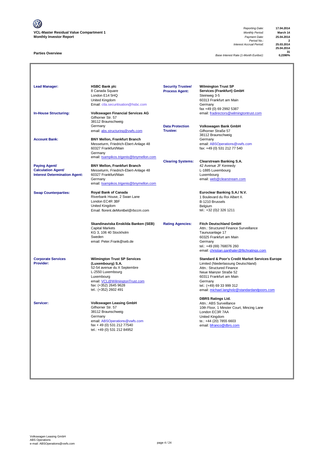V **VCL-Master Residual Value Compartment 1** *Monthly Period:* **March 14 Monthly Investor Report** *Payment Date:* **25.04.2014**

#### **Parties Overview**

*Reporting Date:* **17.04.2014** *Period No.:* **2** *Interest Accrual Period:* **25.03.2014**

**25.04.2014 31**

*Base Interest Rate (1-Month Euribor):* **0,2390%**

| <b>Lead Manager:</b><br><b>In-House Structuring:</b>                                      | <b>HSBC Bank plc</b><br>8 Canada Square<br>London E14 5HQ<br>United Kingdom<br>Email: ctla.securitisation@hsbc.com<br><b>Volkswagen Financial Services AG</b><br>Gifhorner Str. 57                             | <b>Security Trustee/</b><br><b>Process Agent:</b> | <b>Wilmington Trust SP</b><br>Services (Frankfurt) GmbH<br>Steinweg 3-5<br>60313 Frankfurt am Main<br>Germany<br>fax +49 (0) 69 2992 5387<br>email: fradirectors@wilmingtontrust.com                                                                                        |
|-------------------------------------------------------------------------------------------|----------------------------------------------------------------------------------------------------------------------------------------------------------------------------------------------------------------|---------------------------------------------------|-----------------------------------------------------------------------------------------------------------------------------------------------------------------------------------------------------------------------------------------------------------------------------|
| <b>Account Bank:</b>                                                                      | 38112 Braunschweig<br>Germany<br>email: abs.structuring@vwfs.com<br><b>BNY Mellon, Frankfurt Branch</b>                                                                                                        | <b>Data Protection</b><br>Trustee:                | Volkswagen Bank GmbH<br>Gifhorner Straße 57<br>38112 Braunschweig<br>Germany                                                                                                                                                                                                |
|                                                                                           | Messeturm, Friedrich-Ebert-Anlage 48<br>60327 Frankfurt/Main<br>Germany<br>email: tsampikos.trigenis@bnymellon.com                                                                                             |                                                   | email: ABSOperations@vwfs.com<br>fax: +49 (0) 531 212 77 540                                                                                                                                                                                                                |
| <b>Paying Agent/</b><br><b>Calculation Agent/</b><br><b>Interest Determination Agent:</b> | <b>BNY Mellon, Frankfurt Branch</b><br>Messeturm, Friedrich-Ebert-Anlage 48<br>60327 Frankfurt/Main<br>Germany<br>email: tsampikos.trigenis@bnymellon.com                                                      | <b>Clearing Systems:</b>                          | <b>Clearstream Banking S.A.</b><br>42 Avenue JF Kennedy<br>L-1885 Luxembourg<br>Luxembourg<br>email: web@clearstream.com                                                                                                                                                    |
| <b>Swap Counterparties:</b>                                                               | Royal Bank of Canada<br>Riverbank House, 2 Swan Lane<br>London EC4R 3BF<br>United Kingdom<br>Email: florent.deMontbel@rbccm.com                                                                                |                                                   | Euroclear Banking S.A./ N.V.<br>1 Boulevard du Roi Albert II.<br>B-1210 Brussels<br>Belgium<br>tel.: +32 (0)2 326 1211                                                                                                                                                      |
|                                                                                           | Skandinaviska Enskilda Banken (SEB)<br><b>Capital Markets</b><br>KG 3, 106 40 Stockholm<br>Sweden<br>email: Peter.Frank@seb.de                                                                                 | <b>Rating Agencies:</b>                           | <b>Fitch Deutschland GmbH</b><br>Attn.: Structured Finance Surveillance<br>Taunusanlage 17<br>60325 Frankfurt am Main<br>Germany<br>tel.: +49 (69) 768076 260<br>email: christian.ganthaler@fitchratings.com                                                                |
| <b>Corporate Services</b><br><b>Provider:</b>                                             | <b>Wilmington Trust SP Services</b><br>(Luxembourg) S.A.<br>52-54 avenue du X Septembre<br>L-2550 Luxembourg<br>Luxembourg<br>email: VCL@WilmingtonTrust.com<br>fax: (+352) 2645 9628<br>tel.: (+352) 2602 491 |                                                   | <b>Standard &amp; Poor's Credit Market Services Europe</b><br>Limited (Niederlassung Deutschland)<br>Attn.: Structured Finance<br>Neue Mainzer Straße 52<br>60311 Frankfurt am Main<br>Germany<br>tel.: (+49) 69 33 999 312<br>email: michael.langholz@standardandpoors.com |
| Servicer:                                                                                 | <b>Volkswagen Leasing GmbH</b><br>Gifhorner Str. 57<br>38112 Braunschweig<br>Germany<br>email: ABSOperations@vwfs.com<br>fax + 49 (0) 531 212 77540<br>tel.: +49 (0) 531 212 84952                             |                                                   | <b>DBRS Ratings Ltd.</b><br>Attn.: ABS Surveillance<br>10th Floor, 1 Minster Court, Mincing Lane<br>London EC3R 7AA<br>United Kingdom<br>te.: +44 (20) 7855 6603<br>email: bfranco@dbrs.com                                                                                 |
|                                                                                           |                                                                                                                                                                                                                |                                                   |                                                                                                                                                                                                                                                                             |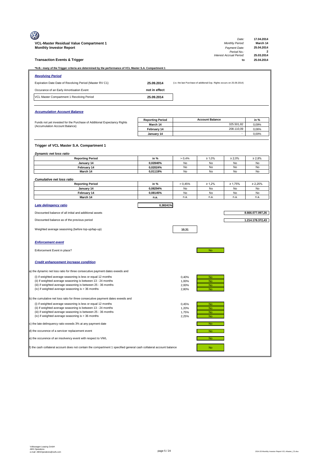|                                                                                                                              |                                     |                |                                                                         | Date:                          | 17.04.2014                 |
|------------------------------------------------------------------------------------------------------------------------------|-------------------------------------|----------------|-------------------------------------------------------------------------|--------------------------------|----------------------------|
| VCL-Master Residual Value Compartment 1                                                                                      |                                     |                |                                                                         | <b>Monthly Period:</b>         | March 14                   |
| <b>Monthly Investor Report</b>                                                                                               |                                     |                |                                                                         | Payment Date:<br>Period No.:   | 25.04.2014<br>$\mathbf{2}$ |
| <b>Transaction Events &amp; Trigger</b>                                                                                      |                                     |                |                                                                         | Interest Accrual Period:<br>to | 25.03.2014<br>25.04.2014   |
| *N.B.: many of the Trigger criteria are determined by the performance of VCL Master S.A. Compartment 1                       |                                     |                |                                                                         |                                |                            |
| <b>Revolving Period</b>                                                                                                      |                                     |                |                                                                         |                                |                            |
| Expiration Date Date of Revolving Period (Master RV C1)                                                                      | 25.09.2014                          |                | (i.e. the last Purchase of additional Exp. Rights occurs on 25.09.2014) |                                |                            |
| Occurance of an Early Amortisation Event                                                                                     | not in effect                       |                |                                                                         |                                |                            |
| VCL Master Compartment 1 Revolving Period                                                                                    | 25.09.2014                          |                |                                                                         |                                |                            |
|                                                                                                                              |                                     |                |                                                                         |                                |                            |
|                                                                                                                              |                                     |                |                                                                         |                                |                            |
| <b>Accumulation Account Balance</b>                                                                                          |                                     |                |                                                                         |                                |                            |
| Funds not yet invested for the Purchase of Additional Expectancy Rights                                                      | <b>Reporting Period</b><br>March 14 |                | <b>Account Balance</b>                                                  | 325.501,82                     | in %<br>0,09%              |
| (Accumulation Account Balance)                                                                                               | February 14                         |                |                                                                         | 208.110,09                     | 0,06%                      |
|                                                                                                                              | January 14                          |                |                                                                         |                                | 0,00%                      |
|                                                                                                                              |                                     |                |                                                                         |                                |                            |
| Trigger of VCL Master S.A. Compartment 1                                                                                     |                                     |                |                                                                         |                                |                            |
| Dynamic net loss ratio                                                                                                       |                                     |                |                                                                         |                                |                            |
| <b>Reporting Period</b>                                                                                                      | in %                                | > 0,4%         | $\geq 1,0\%$                                                            | $\geq 2,0\%$                   | $\geq 2,8\%$               |
| January 14<br>February 14                                                                                                    | 0,02840%<br>0,02024%                | No<br>No       | No<br>No                                                                | No<br>No                       | No<br>No                   |
| March 14                                                                                                                     | 0,01119%                            | No             | No                                                                      | No                             | No                         |
| <b>Cumulative net loss ratio</b>                                                                                             |                                     |                |                                                                         |                                |                            |
| <b>Reporting Period</b>                                                                                                      | in %                                | > 0,45%        | $\geq 1,2\%$                                                            | $\geq 1,75%$                   | $\geq 2,25\%$              |
| January 14                                                                                                                   | 0,08294%                            | No             | No                                                                      | No                             | No                         |
| February 14<br>March 14                                                                                                      | 0,08145%<br>n.a.                    | No<br>n.a.     | No<br>n.a.                                                              | No<br>n.a.                     | No<br>n.a.                 |
|                                                                                                                              |                                     |                |                                                                         |                                |                            |
| Late delingency ratio                                                                                                        | 0,38241%                            |                |                                                                         |                                |                            |
| Discounted balance of all initial and additional assets                                                                      |                                     |                |                                                                         |                                | 8.666.077.097,26           |
| Discounted balance as of the previous period                                                                                 |                                     |                |                                                                         |                                | 1.214.178.372,43           |
| Weighted average seasoning (before top-up/tap-up)                                                                            |                                     |                |                                                                         |                                |                            |
|                                                                                                                              |                                     | 10,31          |                                                                         |                                |                            |
|                                                                                                                              |                                     |                |                                                                         |                                |                            |
| <b>Enforcement event</b>                                                                                                     |                                     |                |                                                                         |                                |                            |
| Enforcement Event in place?                                                                                                  |                                     |                | No                                                                      |                                |                            |
|                                                                                                                              |                                     |                |                                                                         |                                |                            |
| <b>Credit enhancement increase condition</b>                                                                                 |                                     |                |                                                                         |                                |                            |
| a) the dynamic net loss ratio for three consecutive payment dates exeeds and                                                 |                                     |                |                                                                         |                                |                            |
| (i) if weighted average seasoning is less or equal 12 months                                                                 |                                     | 0,40%          | No                                                                      |                                |                            |
| (ii) if weighted average seasoning is between 13 - 24 months                                                                 |                                     | 1,00%          | No.                                                                     |                                |                            |
| (iii) if weighted average seasoning is between 25 - 36 months<br>(iv) if weighted average seasoning is > 36 months           |                                     | 2,00%<br>2,80% | <b>No</b><br><b>No</b>                                                  |                                |                            |
|                                                                                                                              |                                     |                |                                                                         |                                |                            |
| b) the cumulative net loss ratio for three consecutive payment dates exeeds and                                              |                                     |                |                                                                         |                                |                            |
| (i) if weighted average seasoning is less or equal 12 months<br>(ii) if weighted average seasoning is between 13 - 24 months |                                     | 0,45%<br>1,20% | <b>No</b><br><b>No</b>                                                  |                                |                            |
| (iii) if weighted average seasoning is between 25 - 36 months                                                                |                                     | 1,75%          | <b>No</b>                                                               |                                |                            |
| (iv) if weighted average seasoning is > 36 months                                                                            |                                     | 2,25%          | <b>No</b>                                                               |                                |                            |
| c) the late delinquency ratio exeeds 3% at any payment date                                                                  |                                     |                | <b>No</b>                                                               |                                |                            |
| d) the occurence of a servicer replacement event                                                                             |                                     |                | No                                                                      |                                |                            |
| e) the occurence of an insolvency event with respect to VWL                                                                  |                                     |                | <b>No</b>                                                               |                                |                            |
| f) the cash collateral account does not contain the compartment 1 specified general cash collateral account balance          |                                     |                | No                                                                      |                                |                            |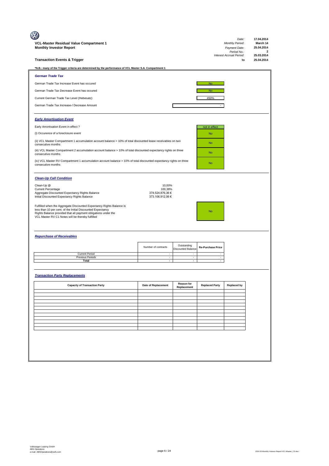|                                                                                                                                                                                                                                                           |                                      |                                          |                          | Date:                          | 17.04.2014                 |
|-----------------------------------------------------------------------------------------------------------------------------------------------------------------------------------------------------------------------------------------------------------|--------------------------------------|------------------------------------------|--------------------------|--------------------------------|----------------------------|
| VCL-Master Residual Value Compartment 1                                                                                                                                                                                                                   |                                      |                                          |                          | <b>Monthly Period:</b>         | March 14                   |
| <b>Monthly Investor Report</b>                                                                                                                                                                                                                            |                                      |                                          |                          | Payment Date:<br>Period No.:   | 25.04.2014<br>$\mathbf{2}$ |
| <b>Transaction Events &amp; Trigger</b>                                                                                                                                                                                                                   |                                      |                                          |                          | Interest Accrual Period:<br>to | 25.03.2014<br>25.04.2014   |
| *N.B.: many of the Trigger criteria are determined by the performance of VCL Master S.A. Compartment 1                                                                                                                                                    |                                      |                                          |                          |                                |                            |
| <b>German Trade Tax</b>                                                                                                                                                                                                                                   |                                      |                                          |                          |                                |                            |
| German Trade Tax Increase Event has occured                                                                                                                                                                                                               |                                      |                                          | <b>No</b>                |                                |                            |
| German Trade Tax Decrease Event has occured                                                                                                                                                                                                               |                                      |                                          | <b>No</b>                |                                |                            |
| Current German Trade Tax Level (Hebesatz)                                                                                                                                                                                                                 |                                      |                                          | 450%                     |                                |                            |
| German Trade Tax Increase-/ Decrease Amount                                                                                                                                                                                                               |                                      |                                          |                          |                                |                            |
| <b>Early Amortisation Event</b>                                                                                                                                                                                                                           |                                      |                                          |                          |                                |                            |
| Early Amortisation Event in effect ?                                                                                                                                                                                                                      |                                      |                                          | not in effect            |                                |                            |
| (i) Occurence of a foreclosure event                                                                                                                                                                                                                      |                                      |                                          | <b>No</b>                |                                |                            |
| (ii) VCL Master Compartment 1 accumulation account balance > 10% of total discounted lease receivables on two<br>consecutive months                                                                                                                       |                                      |                                          | No                       |                                |                            |
| (iii) VCL Master Compartment 2 accumulation account balance > 10% of total discounted expectancy rights on three<br>consecutive months                                                                                                                    |                                      |                                          | <b>No</b>                |                                |                            |
| (iv) VCL Master RV Compartment 1 accumulation account balance > 10% of total discounted expectancy rights on three<br>consecutive months                                                                                                                  |                                      |                                          | <b>No</b>                |                                |                            |
| <b>Clean-Up Call Condition</b>                                                                                                                                                                                                                            |                                      |                                          |                          |                                |                            |
| Clean-Up @<br><b>Current Percentage</b>                                                                                                                                                                                                                   | 10,00%<br>100,38%                    |                                          |                          |                                |                            |
| Aggregate Discounted Expectancy Rights Balance<br>Initial Discounted Expectancy Rights Balance                                                                                                                                                            | 374.524.876,36 €<br>373.106.912,06 € |                                          |                          |                                |                            |
| Fulfilled when the Aggregate Discounted Expectancy Rights Balance is<br>less than 10 per cent. of the Initial Discounted Expectancy<br>Rights Balance provided that all payment obligations under the<br>VCL Master RV C1 Notes will be thereby fulfilled |                                      |                                          | <b>No</b>                |                                |                            |
| <b>Repurchase of Receivables</b>                                                                                                                                                                                                                          |                                      |                                          |                          |                                |                            |
|                                                                                                                                                                                                                                                           | Number of contracts                  | Outstanding<br><b>Discounted Balance</b> | <b>Re-Purchase Price</b> |                                |                            |
| <b>Current Period</b><br><b>Previous Periods</b>                                                                                                                                                                                                          | $\sim$<br>$\sim$                     | $\overline{\phantom{a}}$                 |                          |                                |                            |
| Total                                                                                                                                                                                                                                                     | $\overline{\phantom{a}}$             | $\overline{\phantom{a}}$                 |                          |                                |                            |
| <b>Transaction Party Replacements</b>                                                                                                                                                                                                                     |                                      |                                          |                          |                                |                            |
| <b>Capacity of Transaction Party</b>                                                                                                                                                                                                                      | Date of Replacement                  | Reason for<br>Replacement                | <b>Replaced Party</b>    | <b>Replaced by</b>             |                            |
|                                                                                                                                                                                                                                                           |                                      |                                          |                          |                                |                            |
|                                                                                                                                                                                                                                                           |                                      |                                          |                          |                                |                            |
|                                                                                                                                                                                                                                                           |                                      |                                          |                          |                                |                            |
|                                                                                                                                                                                                                                                           |                                      |                                          |                          |                                |                            |
|                                                                                                                                                                                                                                                           |                                      |                                          |                          |                                |                            |
|                                                                                                                                                                                                                                                           |                                      |                                          |                          |                                |                            |
|                                                                                                                                                                                                                                                           |                                      |                                          |                          |                                |                            |
|                                                                                                                                                                                                                                                           |                                      |                                          |                          |                                |                            |
|                                                                                                                                                                                                                                                           |                                      |                                          |                          |                                |                            |
|                                                                                                                                                                                                                                                           |                                      |                                          |                          |                                |                            |
|                                                                                                                                                                                                                                                           |                                      |                                          |                          |                                |                            |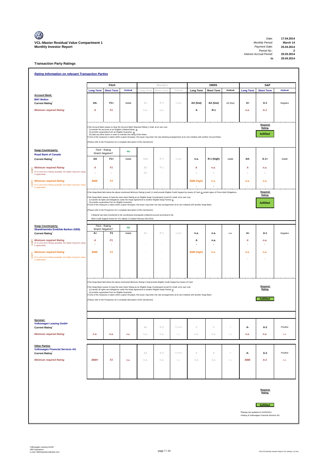#### **Transaction Party Ratings**

|                                                                                   |                  | Fitch                                                                                                                                                                                                                  |                |                | Moody's    |                                                                                                                                                                                                                                                          |                                                                                                                                                                                | <b>DBRS</b>       |          |                                     | S&P                 |          |
|-----------------------------------------------------------------------------------|------------------|------------------------------------------------------------------------------------------------------------------------------------------------------------------------------------------------------------------------|----------------|----------------|------------|----------------------------------------------------------------------------------------------------------------------------------------------------------------------------------------------------------------------------------------------------------|--------------------------------------------------------------------------------------------------------------------------------------------------------------------------------|-------------------|----------|-------------------------------------|---------------------|----------|
|                                                                                   | <b>Long Term</b> | <b>Short Term</b>                                                                                                                                                                                                      | <b>Outlook</b> | Long Term      | Short Term | Outlook                                                                                                                                                                                                                                                  | <b>Long Term</b>                                                                                                                                                               | <b>Short Term</b> | Outlook  | <b>Long Term</b>                    | <b>Short Term</b>   | Outlook  |
| <b>Account Bank:</b>                                                              |                  |                                                                                                                                                                                                                        |                |                |            |                                                                                                                                                                                                                                                          |                                                                                                                                                                                |                   |          |                                     |                     |          |
| <b>BNY Mellon</b>                                                                 |                  | $F1+$                                                                                                                                                                                                                  | Stable         |                | $P-1$      | Stable                                                                                                                                                                                                                                                   |                                                                                                                                                                                |                   |          |                                     |                     |          |
| <b>Current Rating</b>                                                             | AA-              |                                                                                                                                                                                                                        |                | A1             |            |                                                                                                                                                                                                                                                          | AA (low)                                                                                                                                                                       | AA (low)          | AA (low) | A+                                  | A-1                 | Negative |
| <b>Minimum required Rating</b>                                                    | Α                | F <sub>1</sub>                                                                                                                                                                                                         |                | n.a.           | n.a.       |                                                                                                                                                                                                                                                          | Α                                                                                                                                                                              | $R-1$             |          | n.a.                                | $A-1$               |          |
|                                                                                   |                  |                                                                                                                                                                                                                        |                |                |            |                                                                                                                                                                                                                                                          |                                                                                                                                                                                |                   |          |                                     |                     |          |
|                                                                                   |                  | the Account Bank ceases to have the Account Bank Required Rating it shall, at its own cost,<br>(i) transfer the accounts to an Eligible Collateral Bank, or<br>(ii) provide a guarantee from an Eligible Guarantor, or |                |                |            |                                                                                                                                                                                                                                                          |                                                                                                                                                                                |                   |          |                                     | Required<br>Rating: |          |
|                                                                                   |                  | (iii) take any other action in order to maintain the rating of the Notes.                                                                                                                                              |                |                |            |                                                                                                                                                                                                                                                          | f none of the measures is taken within a given timespan, the Issuer may enter into new banking arrangements at its own initiative with another Account Bank.                   |                   |          |                                     | fulfilled           |          |
|                                                                                   |                  | (Please refer to the Prospectus for a complete description of the mechanism)                                                                                                                                           |                |                |            |                                                                                                                                                                                                                                                          |                                                                                                                                                                                |                   |          |                                     |                     |          |
| <b>Swap Counterparty:</b>                                                         |                  | Fitch - Rating<br>Watch Negative?                                                                                                                                                                                      | <b>NO</b>      |                |            |                                                                                                                                                                                                                                                          |                                                                                                                                                                                |                   |          |                                     |                     |          |
| <b>Royal Bank of Canada</b><br><b>Current Rating</b>                              | AA               | $F1+$                                                                                                                                                                                                                  | Stable         | Aa3            | $P-1$      | Stable                                                                                                                                                                                                                                                   | n.a.                                                                                                                                                                           | R-1 (high)        | stable   | AA-                                 | $A-1+$              | Stable   |
| <b>Minimum required Rating</b>                                                    | А                | F <sub>1</sub>                                                                                                                                                                                                         |                | A <sub>2</sub> | $P-1$      |                                                                                                                                                                                                                                                          | A                                                                                                                                                                              | n.a.              |          | А                                   | n.a.                |          |
| (if no short term Rating available, the higher long term rating<br>is applicable) |                  |                                                                                                                                                                                                                        |                | A1             |            |                                                                                                                                                                                                                                                          |                                                                                                                                                                                |                   |          |                                     |                     |          |
| <b>Minimum required Rating</b>                                                    | BBB-             | F <sub>3</sub>                                                                                                                                                                                                         |                |                |            |                                                                                                                                                                                                                                                          | <b>BBB</b> (high)                                                                                                                                                              | n.a.              |          | n.a.                                | n.a.                |          |
| (if no short term Rating available, the higher long term rating<br>is applicable) |                  |                                                                                                                                                                                                                        |                |                |            |                                                                                                                                                                                                                                                          |                                                                                                                                                                                |                   |          |                                     |                     |          |
|                                                                                   |                  |                                                                                                                                                                                                                        |                |                |            |                                                                                                                                                                                                                                                          | If the Swap Bank falls below the above mentioned Minimum Rating (Level I) it shall provide Eligible Credit Support by means of Cash or certain types of Prime Debt Obligations |                   |          |                                     | Required<br>Rating: |          |
|                                                                                   |                  | (i) transfer all rights and obligations under the Swap Agreement to another Eligible Swap Partner or<br>(ii) provide a guarantee from an Eligible Guarantor.                                                           |                |                |            | the Swap Bank ceases to have the even lower Rating as an Eligible Swap Counterparty (Level II) it shall, at its own cost,                                                                                                                                |                                                                                                                                                                                |                   |          |                                     |                     |          |
|                                                                                   |                  |                                                                                                                                                                                                                        |                |                |            |                                                                                                                                                                                                                                                          | none of the measures is taken within a given timespan, the Issuer may enter into new arrangements at its own initiative with another Swap Bank.                                |                   |          |                                     | fulfilled           |          |
|                                                                                   |                  | Please refer to the Prospectus for a complete description of the mechanism)<br>Collateral has been transfered to the counterparty downgrade collateral account according to the                                        |                |                |            |                                                                                                                                                                                                                                                          |                                                                                                                                                                                |                   |          |                                     |                     |          |
|                                                                                   |                  | ISDA Credit Support Annex for VCL Master C2 dated February 23rd 2010.                                                                                                                                                  |                |                |            |                                                                                                                                                                                                                                                          |                                                                                                                                                                                |                   |          |                                     |                     |          |
| <b>Swap Counterparty:</b>                                                         |                  | Fitch - Rating<br>Watch Negative?                                                                                                                                                                                      | <b>NO</b>      |                |            |                                                                                                                                                                                                                                                          |                                                                                                                                                                                |                   |          |                                     |                     |          |
| Skandinaviska Enskilda Banken (SEB)<br><b>Current Rating</b>                      | A+               | F <sub>1</sub>                                                                                                                                                                                                         | Stable         | A1             | $P-1$      | Stable                                                                                                                                                                                                                                                   | n.a.                                                                                                                                                                           | n.a.              | n.a.     | A+                                  | $A-1$               | Negative |
| <b>Minimum required Rating</b>                                                    | Α                | F <sub>1</sub>                                                                                                                                                                                                         |                |                |            |                                                                                                                                                                                                                                                          | А                                                                                                                                                                              | n.a.              |          | A                                   | n.a.                |          |
| (if no short term Rating available, the higher long term rating<br>is applicable) |                  |                                                                                                                                                                                                                        |                |                |            |                                                                                                                                                                                                                                                          |                                                                                                                                                                                |                   |          |                                     |                     |          |
| <b>Minimum required Rating</b>                                                    | BBB-             | F <sub>3</sub>                                                                                                                                                                                                         |                |                |            |                                                                                                                                                                                                                                                          | <b>BBB</b> (high)                                                                                                                                                              | n.a.              |          | n.a.                                | n.a.                |          |
| (if no short term Rating available, the higher long term rating<br>is applicable) |                  |                                                                                                                                                                                                                        |                |                |            |                                                                                                                                                                                                                                                          |                                                                                                                                                                                |                   |          |                                     |                     |          |
|                                                                                   |                  |                                                                                                                                                                                                                        |                |                |            |                                                                                                                                                                                                                                                          |                                                                                                                                                                                |                   |          |                                     |                     |          |
|                                                                                   |                  |                                                                                                                                                                                                                        |                |                |            |                                                                                                                                                                                                                                                          |                                                                                                                                                                                |                   |          |                                     |                     |          |
|                                                                                   |                  |                                                                                                                                                                                                                        |                |                |            |                                                                                                                                                                                                                                                          |                                                                                                                                                                                |                   |          |                                     |                     |          |
|                                                                                   |                  |                                                                                                                                                                                                                        |                |                |            | If the Swap Bank falls below the above mentioned Minimum Rating it shall provide Eligible Credit Support by means of Cash<br>f the Swap Bank ceases to have the even lower Rating as an Eligible Swap Counterparty (Level II) it shall, at its own cost, |                                                                                                                                                                                |                   |          |                                     | Required            |          |
|                                                                                   |                  | (i) transfer all rights and obligations under the Swap Agreement to another Eligible Swap Partner or<br>(ii) provide a guarantee from an Eligible Guarantor.                                                           |                |                |            |                                                                                                                                                                                                                                                          |                                                                                                                                                                                |                   |          |                                     | Rating:             |          |
|                                                                                   |                  | (Please refer to the Prospectus for a complete description of the mechanism)                                                                                                                                           |                |                |            |                                                                                                                                                                                                                                                          | f none of the measures is taken within a given timespan, the Issuer may enter into new arrangements at its own initiative with another Swap Bank.                              |                   |          |                                     | <b>fulfilled</b>    |          |
|                                                                                   |                  |                                                                                                                                                                                                                        |                |                |            |                                                                                                                                                                                                                                                          |                                                                                                                                                                                |                   |          |                                     |                     |          |
|                                                                                   |                  |                                                                                                                                                                                                                        |                |                |            |                                                                                                                                                                                                                                                          |                                                                                                                                                                                |                   |          |                                     |                     |          |
| Servicer:                                                                         |                  |                                                                                                                                                                                                                        |                |                |            |                                                                                                                                                                                                                                                          |                                                                                                                                                                                |                   |          |                                     |                     |          |
| <b>Volkswagen Leasing GmbH</b>                                                    |                  |                                                                                                                                                                                                                        |                |                |            | Positive                                                                                                                                                                                                                                                 |                                                                                                                                                                                |                   | $\cal O$ |                                     |                     | Positive |
| <b>Current Rating</b>                                                             |                  |                                                                                                                                                                                                                        |                | A3             | $P-2$      |                                                                                                                                                                                                                                                          | $\mathbb O$                                                                                                                                                                    | $\mathbb O$       |          | А-                                  | $A-2$               |          |
| <b>Minimum required Rating</b>                                                    | n.a.             | n.a.                                                                                                                                                                                                                   | n.a.           | n.a.           | n.a.       | n.a.                                                                                                                                                                                                                                                     | n.a.                                                                                                                                                                           | n.a.              | n.a.     | n.a.                                | n.a.                | n.a.     |
| <b>Other Parties</b>                                                              |                  |                                                                                                                                                                                                                        |                |                |            |                                                                                                                                                                                                                                                          |                                                                                                                                                                                |                   |          |                                     |                     |          |
| <b>Volkswagen Financial Services AG</b><br><b>Current Rating</b>                  |                  |                                                                                                                                                                                                                        |                | A3             | $P-2$      | Positive                                                                                                                                                                                                                                                 | $\mathbb O$                                                                                                                                                                    | $\mathbb O$       | $\cal O$ | А-                                  | A-2                 | Positive |
| <b>Minimum required Rating</b>                                                    | BBB+             | F <sub>2</sub>                                                                                                                                                                                                         | n.a.           | n.a.           | n.a.       | n.a.                                                                                                                                                                                                                                                     | n.a.                                                                                                                                                                           | n.a.              | n.a.     | <b>BBB</b>                          | $A-2$               | n.a.     |
|                                                                                   |                  |                                                                                                                                                                                                                        |                |                |            |                                                                                                                                                                                                                                                          |                                                                                                                                                                                |                   |          |                                     |                     |          |
|                                                                                   |                  |                                                                                                                                                                                                                        |                |                |            |                                                                                                                                                                                                                                                          |                                                                                                                                                                                |                   |          |                                     |                     |          |
|                                                                                   |                  |                                                                                                                                                                                                                        |                |                |            |                                                                                                                                                                                                                                                          |                                                                                                                                                                                |                   |          |                                     |                     |          |
|                                                                                   |                  |                                                                                                                                                                                                                        |                |                |            |                                                                                                                                                                                                                                                          |                                                                                                                                                                                |                   |          |                                     |                     |          |
|                                                                                   |                  |                                                                                                                                                                                                                        |                |                |            |                                                                                                                                                                                                                                                          |                                                                                                                                                                                |                   |          |                                     | Required            |          |
|                                                                                   |                  |                                                                                                                                                                                                                        |                |                |            |                                                                                                                                                                                                                                                          |                                                                                                                                                                                |                   |          |                                     |                     |          |
|                                                                                   |                  |                                                                                                                                                                                                                        |                |                |            |                                                                                                                                                                                                                                                          |                                                                                                                                                                                |                   |          |                                     | Rating:             |          |
|                                                                                   |                  |                                                                                                                                                                                                                        |                |                |            |                                                                                                                                                                                                                                                          |                                                                                                                                                                                |                   |          |                                     |                     |          |
|                                                                                   |                  |                                                                                                                                                                                                                        |                |                |            |                                                                                                                                                                                                                                                          |                                                                                                                                                                                |                   |          | *Ratings last updated on 01/04/2014 | <b>fulfilled</b>    |          |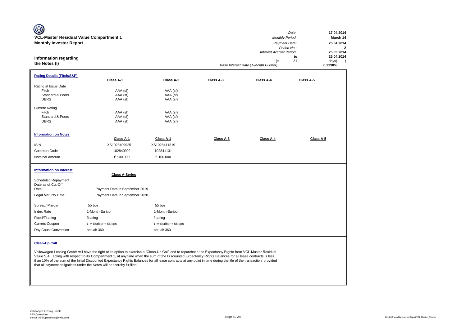| <b>W</b><br>VCL-Master Residual Value Compartment 1<br><b>Monthly Investor Report</b><br><b>Information regarding</b><br>the Notes (I) |                                                                                           |                                                                             |           | <b>Monthly Period:</b><br>Payment Date:<br>Interest Accrual Period:<br>$(=$<br>Base Interest Rate (1-Month Euribor): | 17.04.2014<br>Date:<br>March 14<br>25.04.2014<br>Period No.:<br>$\overline{2}$<br>25.03.2014<br>25.04.2014<br>to<br>31<br>days)<br>$\rightarrow$<br>0,2390% |
|----------------------------------------------------------------------------------------------------------------------------------------|-------------------------------------------------------------------------------------------|-----------------------------------------------------------------------------|-----------|----------------------------------------------------------------------------------------------------------------------|-------------------------------------------------------------------------------------------------------------------------------------------------------------|
| <b>Rating Details (Fitch/S&amp;P)</b>                                                                                                  | Class A-1                                                                                 | Class A-2                                                                   | Class A-3 | Class A-4                                                                                                            | Class A-5                                                                                                                                                   |
| Rating at Issue Date<br>Fitch<br>Standard & Poors<br><b>DBRS</b><br><b>Current Rating</b><br>Fitch<br>Standard & Poors<br><b>DBRS</b>  | AAA (sf)<br>AAA (sf)<br>AAA (sf)<br>AAA (sf)<br>AAA (sf)<br>AAA (sf)                      | AAA (sf)<br>AAA (sf)<br>AAA (sf)<br>AAA (sf)<br>AAA (sf)<br>AAA (sf)        |           |                                                                                                                      |                                                                                                                                                             |
| <b>Information on Notes</b><br><b>ISIN</b><br>Common Code<br>Nominal Amount                                                            | Class A-1<br>XS1028409925<br>102840992<br>€ 100.000                                       | Class A-1<br>XS1028411319<br>102841131<br>€ 100.000                         | Class A-3 | Class A-4                                                                                                            | Class A-5                                                                                                                                                   |
| <b>Information on Interest</b><br>Scheduled Repayment<br>Date as of Cut-Off<br>Date:<br>Legal Maturity Date:                           | <b>Class A-Series</b><br>Payment Date in September 2019<br>Payment Date in September 2020 |                                                                             |           |                                                                                                                      |                                                                                                                                                             |
| Spread/ Margin<br>Index Rate<br>Fixed/Floating<br>Current Coupon<br>Day Count Convention                                               | 55 bps<br>1-Month-Euribor<br>floating<br>1-M-Euribor + 55 bps<br>actual/360               | 55 bps<br>1-Month-Euribor<br>floating<br>1-M-Euribor + 55 bps<br>actual/360 |           |                                                                                                                      |                                                                                                                                                             |

#### **Clean-Up Call**

Volkswagen Leasing GmbH will have the right at its option to exercise a "Clean-Up Call" and to repurchase the Expectancy Rights from VCL-Master Residual Value S.A., acting with respect to its Compartment 1, at any time when the sum of the Discounted Expectancy Rights Balances for all lease contracts is less than 10% of the sum of the Initial Discounted Expectancy Rights Balances for all lease contracts at any point in time during the life of the transaction, provided that all payment obligations under the Notes will be thereby fulfilled.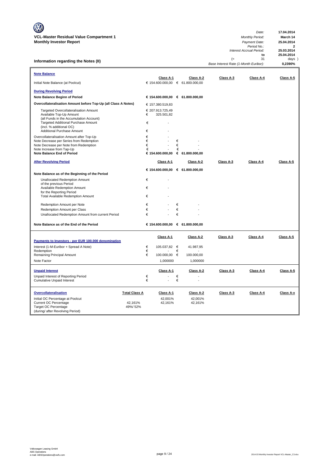**Information regarding the Notes (II)**

|                                       | Date:      | 17.04.2014 |  |
|---------------------------------------|------------|------------|--|
| <b>Monthly Period:</b>                | March 14   |            |  |
| Payment Date:                         | 25.04.2014 |            |  |
| Period No.:                           | 2          |            |  |
| Interest Accrual Period:              |            | 25.03.2014 |  |
|                                       | to         | 25.04.2014 |  |
| $(=$                                  | 31         | $days$ )   |  |
| Base Interest Rate (1-Month Euribor): | 0.2390%    |            |  |

| <b>Note Balance</b>                                                                                                                                                                                         |                      |                  | Class A-1                        |             | Class A-2  | Class A-3 | Class A-4 | Class A-5 |
|-------------------------------------------------------------------------------------------------------------------------------------------------------------------------------------------------------------|----------------------|------------------|----------------------------------|-------------|------------|-----------|-----------|-----------|
| Initial Note Balance (at Poolcut)                                                                                                                                                                           |                      |                  | € 154.600.000,00 € 61.800.000,00 |             |            |           |           |           |
| <b>During Revolving Period</b>                                                                                                                                                                              |                      |                  |                                  |             |            |           |           |           |
| Note Balance Beginn of Period                                                                                                                                                                               |                      |                  | € 154.600.000,00 € 61.800.000,00 |             |            |           |           |           |
| Overcollateralisation Amount before Top-Up (all Class A Notes)                                                                                                                                              |                      |                  | € 157.380.519,83                 |             |            |           |           |           |
| Targeted Overcollateralisation Amount<br>Available Top-Up Amount<br>(all Funds in the Accumulation Account)<br>Targeted Additional Purchase Amount<br>(incl. % additional OC)<br>Additional Purchase Amount |                      | €<br>€<br>€      | € 207.913.725,49<br>325.501,82   |             |            |           |           |           |
| Overcollateralisation Amount after Top-Up<br>Note Decrease per Series from Redemption<br>Note Decrease per Note from Redemption<br>Note Increase from Tap-Up<br><b>Note Balance End of Period</b>           |                      | €<br>€<br>€<br>€ | € 154.600.000,00 € 61.800.000,00 | €<br>€<br>€ |            |           |           |           |
| <b>After Revolving Period</b>                                                                                                                                                                               |                      |                  | Class A-1                        |             | Class A-2  | Class A-3 | Class A-4 | Class A-5 |
|                                                                                                                                                                                                             |                      |                  | € 154.600.000,00 € 61.800.000,00 |             |            |           |           |           |
| Note Balance as of the Beginning of the Period                                                                                                                                                              |                      |                  |                                  |             |            |           |           |           |
| Unallocated Redemption Amount<br>of the previous Period<br>Available Redemption Amount                                                                                                                      |                      | €<br>€           |                                  |             |            |           |           |           |
| for the Reporting Period                                                                                                                                                                                    |                      |                  |                                  |             |            |           |           |           |
| <b>Total Available Redemption Amount</b>                                                                                                                                                                    |                      | €                |                                  |             |            |           |           |           |
| Redemption Amount per Note                                                                                                                                                                                  |                      | €                |                                  | €           |            |           |           |           |
| Redemption Amount per Class                                                                                                                                                                                 |                      | €                |                                  | €           |            |           |           |           |
| Unallocated Redemption Amount from current Period                                                                                                                                                           |                      | €                |                                  | €           |            |           |           |           |
| Note Balance as of the End of the Period                                                                                                                                                                    |                      |                  | € 154.600.000,00 € 61.800.000,00 |             |            |           |           |           |
| Payments to Investors - per EUR 100.000 denomination                                                                                                                                                        |                      |                  | Class A-1                        |             | Class A-2  | Class A-3 | Class A-4 | Class A-5 |
| Interest (1-M-Euribor + Spread A Note)                                                                                                                                                                      |                      | €                | 105.037,82 €                     |             | 41.987,95  |           |           |           |
| Redemption                                                                                                                                                                                                  |                      | €                |                                  | €           |            |           |           |           |
| Remaining Principal Amount                                                                                                                                                                                  |                      | €                | 100.000,00 €                     |             | 100.000,00 |           |           |           |
| Note Factor                                                                                                                                                                                                 |                      |                  | 1,000000                         |             | 1,000000   |           |           |           |
| <b>Unpaid Interest</b>                                                                                                                                                                                      |                      |                  | Class A-1                        |             | Class A-2  | Class A-3 | Class A-4 | Class A-5 |
| Unpaid Interest of Reporting Period                                                                                                                                                                         |                      | €                |                                  | €           |            |           |           |           |
| <b>Cumulative Unpaid Interest</b>                                                                                                                                                                           |                      | €                |                                  | €           |            |           |           |           |
| Overcollateralisation                                                                                                                                                                                       | <b>Total Class A</b> |                  | Class A-1                        |             | Class A-2  | Class A-3 | Class A-4 | Class A-x |
| Initial OC Percentage at Poolcut                                                                                                                                                                            |                      |                  | 42,001%                          |             | 42,001%    |           |           |           |
| <b>Current OC Percentage</b><br>Target OC Percentage                                                                                                                                                        | 42,161%<br>49%/52%   |                  | 42,161%                          |             | 42,161%    |           |           |           |
| (during/ after Revolving Period)                                                                                                                                                                            |                      |                  |                                  |             |            |           |           |           |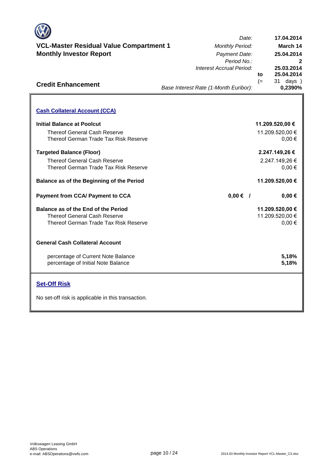

# **VCL-Master Residual Value Compartment 1** *Monthly Period:* **Monthly Investor Report**

**Cash Collateral Account (CCA)**

Thereof General Cash Reserve

**Initial Balance at Poolcut**

**Credit Enhancement**

| Date:                                 |      | 17.04.2014      |
|---------------------------------------|------|-----------------|
| <b>Monthly Period:</b>                |      | March 14        |
| Payment Date:                         |      | 25.04.2014      |
| Period No.:                           |      | 2               |
| Interest Accrual Period:              |      | 25.03.2014      |
|                                       | to   | 25.04.2014      |
|                                       | $(=$ | days)<br>31.    |
| Base Interest Rate (1-Month Euribor): |      | 0,2390%         |
|                                       |      |                 |
|                                       |      |                 |
|                                       |      |                 |
|                                       |      | 11.209.520,00 € |
|                                       |      | 11.209.520,00 € |
|                                       |      | 0.00€           |
|                                       |      |                 |

| Thereof German Trade Tax Risk Reserve     |                        | $0,00 \in$      |
|-------------------------------------------|------------------------|-----------------|
| <b>Targeted Balance (Floor)</b>           |                        | 2.247.149,26 €  |
| <b>Thereof General Cash Reserve</b>       |                        | 2.247.149,26 €  |
| Thereof German Trade Tax Risk Reserve     |                        | $0,00 \in$      |
| Balance as of the Beginning of the Period |                        | 11.209.520,00 € |
| <b>Payment from CCA/ Payment to CCA</b>   | $0,00 \in \mathcal{V}$ | $0,00 \in$      |
| Balance as of the End of the Period       |                        | 11.209.520,00 € |
| Thereof General Cash Reserve              |                        | 11.209.520,00 € |
| Thereof German Trade Tax Risk Reserve     |                        | $0,00 \in$      |
| <b>General Cash Collateral Account</b>    |                        |                 |
| percentage of Current Note Balance        |                        | 5,18%           |
| percentage of Initial Note Balance        |                        | 5,18%           |
| <b>Set-Off Risk</b>                       |                        |                 |

No set-off risk is applicable in this transaction.

**. . . .** Trigger Level 1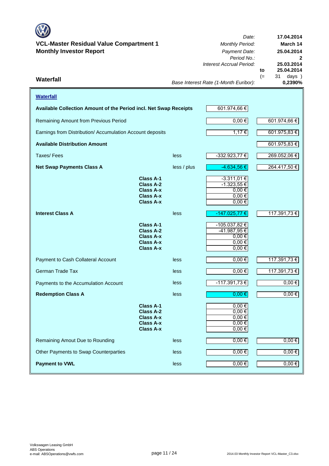

**Waterfall**

## **VCL-Master Residual Value Compartment 1** *Monthly Period:* **Monthly Investor Report** *Payment Date:*

Remaining Amount from Previous Period

**17.04.2014** *Date:* **March 14 25.04.2014** *Period No.:* **2** *Interest Accrual Period:* **25.03.2014 to 25.04.2014** (31 days )<br>0,2390% *Base Interest Rate (1-Month Euribor):* **Waterfall 0,2390% Available Collection Amount of the Period incl. Net Swap Receipts** 601.974,66 €  $0,00 \in$  601.974,66 € Earnings from Distribution/ Accumulation Account deposits  $1,17 \in$  601.975,83 € 601.975,83 €  $\overline{\mathbf{I}}$ -332.923,77 € 269.052,06 € -4.634,56 € 264.417,50 € -3.311,01 € -1.323,55 € 0,00 €

| <b>Available Distribution Amount</b>  |                                                                                                  |             |                                                                                 | 601.975,83 € |
|---------------------------------------|--------------------------------------------------------------------------------------------------|-------------|---------------------------------------------------------------------------------|--------------|
| Taxes/Fees                            |                                                                                                  | less        | $-332.923,77 \in$                                                               | 269.052,06€  |
| <b>Net Swap Payments Class A</b>      |                                                                                                  | less / plus | $-4.634,56 \in$                                                                 | 264.417,50 € |
|                                       | <b>Class A-1</b><br><b>Class A-2</b><br><b>Class A-x</b><br><b>Class A-x</b><br><b>Class A-x</b> |             | $-3.311,01 \in$<br>$-1.323,55 \in$<br>$0,00 \in$<br>$0,00$ €<br>$0,00$ €        |              |
| <b>Interest Class A</b>               |                                                                                                  | less        | -147.025,77 €                                                                   | 117.391,73 € |
|                                       | <b>Class A-1</b><br><b>Class A-2</b><br><b>Class A-x</b><br><b>Class A-x</b><br><b>Class A-x</b> |             | $-105.037,82 \in$<br>$-41.987,95 \in$<br>$0,00 \in$<br>$0,00 \in$<br>$0,00 \in$ |              |
| Payment to Cash Collateral Account    |                                                                                                  | less        | $0,00 \in$                                                                      | 117.391,73 € |
| <b>German Trade Tax</b>               |                                                                                                  | less        | $0,00 \in$                                                                      | 117.391,73 € |
| Payments to the Accumulation Account  |                                                                                                  | less        | $-117.391,73€$                                                                  | $0,00 \in$   |
| <b>Redemption Class A</b>             |                                                                                                  | less        | $0,00$ €                                                                        | $0,00 \in$   |
|                                       | <b>Class A-1</b><br>Class A-2<br><b>Class A-x</b><br><b>Class A-x</b><br><b>Class A-x</b>        |             | $0,00$ €<br>$0,00 \in$<br>$0,00 \in$<br>$0,00 \in$<br>$0,00$ €                  |              |
| Remaining Amout Due to Rounding       |                                                                                                  | less        | $0,00 \in$                                                                      | $0,00 \in$   |
| Other Payments to Swap Counterparties |                                                                                                  | less        | $0,00 \in$                                                                      | $0,00 \in$   |
| <b>Payment to VWL</b>                 |                                                                                                  | less        | $0,00 \in$                                                                      | $0,00 \in$   |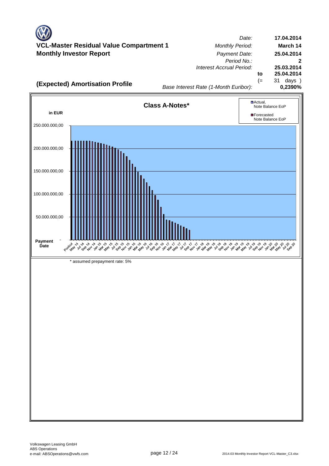*Date:* **Master Residual Value Compartment 1** *Monthly Period:* **Monthly Investor Report** *Payment Date: Period No.: Interest Accrual Period:* **to** (= 31 days ) **17.04.2014 March 14 25.04.2014 25.03.2014 25.04.2014**



*Base Interest Rate (1-Month Euribor):*

**2**

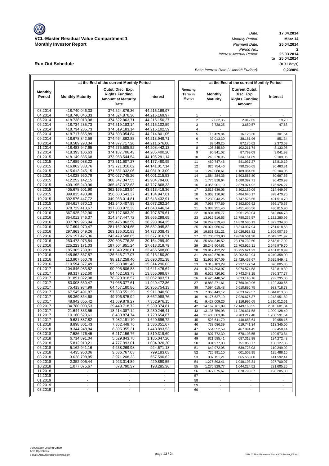**VCL-Master Residual Value Compartment 1** *Monthly Period:* **Monthly Investor Report** 

**Run Out Schedule**

*Date: Period No.: Interest Accrual Period:*

**17.04.2014 März 14 to 25.04.2014 25.03.2014 2 25.04.2014**

**0,2390%** (= 31 days)

*Base Interest Rate (1-Month Euribor):*

|                    |                                  | at the End of the current Monthly Period                                        |                                |                                    | at the End of the current Monthly Period             |                                                                        |                              |  |
|--------------------|----------------------------------|---------------------------------------------------------------------------------|--------------------------------|------------------------------------|------------------------------------------------------|------------------------------------------------------------------------|------------------------------|--|
| Monthly<br>Period  | <b>Monthly Maturity</b>          | Outst. Disc. Exp.<br><b>Rights Funding</b><br><b>Amount at Maturity</b><br>Date | Interest                       | Remaing<br>Term in<br><b>Month</b> | <b>Monthly</b><br><b>Maturity</b>                    | <b>Current Outst.</b><br>Disc. Exp.<br><b>Rights Funding</b><br>Amount | Interest                     |  |
| 03.2014            | 418.740.046,33                   | 374.524.876,36                                                                  | 44.215.169,97                  |                                    |                                                      |                                                                        |                              |  |
| 04.2014            | 418.740.046,33                   | 374.524.876,36                                                                  | 44.215.169,97                  | 1                                  |                                                      |                                                                        |                              |  |
| 05.2014            | 418.738.013,98                   | 374.522.863,71                                                                  | 44.215.150,27                  | $\boldsymbol{2}$                   | 2.032,35                                             | 2.012,65                                                               | 19,70                        |  |
| 06.2014            | 418.734.285,73                   | 374.519.183,14                                                                  | 44.215.102,59                  | 3                                  | 3.728,25                                             | 3.680,57                                                               | 47,68                        |  |
| 07.2014            | 418.734.285,73<br>418.717.855,89 | 374.519.183,14                                                                  | 44.215.102,59                  | 4<br>$\overline{5}$                |                                                      |                                                                        | 301,54                       |  |
| 08.2014<br>09.2014 | 418.678.842,59                   | 374.503.054,84<br>374.464.892,88                                                | 44.214.801,05<br>44.213.949,71 | 6                                  | 16.429,84<br>39.013,30                               | 16.128,30<br>38.161,96                                                 | 851,34                       |  |
| 10.2014            | 418.589.293,34                   | 374.377.717.26                                                                  | 44.211.576,08                  | $\overline{7}$                     | 89.549,25                                            | 87.175,62                                                              | 2.373,63                     |  |
| 11.2014            | 418.483.947,65                   | 374.275.505,52                                                                  | 44.208.442,13                  | 8                                  | 105.345,69                                           | 102.211,74                                                             | 3.133,95                     |  |
| 12.2014            | 418.393.106,63                   | 374.187.706,43                                                                  | 44.205.400,20                  | 9                                  | 90.841,02                                            | 87.799,09                                                              | 3.041,93                     |  |
| 01.2015            | 418.149.835,68                   | 373.953.544,54                                                                  | 44.196.291,14                  | 10                                 | 243.270,95                                           | 234.161,89                                                             | 9.109,06                     |  |
| 02.2015            | 417.689.088,22                   | 373.511.607,27                                                                  | 44.177.480,95                  | 11                                 | 460.747,46                                           | 441.937,27                                                             | 18.810,19                    |  |
| 03.2015            | 416.862.333,76                   | 372.721.316,62                                                                  | 44.141.017,14                  | 12                                 | 826.754,46                                           | 790.290,65                                                             | 36.463,81                    |  |
| 04.2015            | 415.613.245,15                   | 371.531.332,06                                                                  | 44.081.913,09                  | 13                                 | 1.249.088,61                                         | 1.189.984,56                                                           | 59.104,05                    |  |
| 05.2015            | 414.028.960,79                   | 370.027.745,26                                                                  | 44.001.215,53                  | 14                                 | 1.584.284,36                                         | 1.503.586,80                                                           | 80.697,56                    |  |
| 06.2015            | 412.252.142,15                   | 368.347.347,55                                                                  | 43.904.794,60                  | 15                                 | 1.776.818,64                                         | 1.680.397,71                                                           | 96.420,93                    |  |
| 07.2015<br>08.2015 | 409.195.240,96<br>405.678.601,90 | 365.467.372,63<br>362.165.183,54                                                | 43.727.868,33<br>43.513.418,36 | 16<br>17                           | 3.056.901,19<br>3.516.639,06                         | 2.879.974,92<br>3.302.189,09                                           | 176.926,27<br>214.449,97     |  |
| 09.2015            | 399.815.490,98                   | 356.680.543,37                                                                  | 43.134.947,61                  | 18                                 | 5.863.110,92                                         | 5.484.640,17                                                           | 378.470,75                   |  |
| 10.2015            | 392.576.447,72                   | 349.933.014,81                                                                  | 42.643.432,91                  | 19                                 | 7.239.043,26                                         | 6.747.528,56                                                           | 491.514.70                   |  |
| 11.2015            | 384.617.670,13                   | 342.540.407,89                                                                  | 42.077.262,24                  | 20                                 | 7.958.777,59                                         | 7.392.606,92                                                           | 566.170,67                   |  |
| 12.2015            | 378.729.418,67                   | 337.088.972,33                                                                  | 41.640.446,34                  | 21                                 | 5.888.251,46                                         | 5.451.435,56                                                           | 436.815,90                   |  |
| 01.2016            | 367.925.262,90                   | 327.127.683,29                                                                  | 40.797.579,61                  | 22                                 | 10.804.155,77                                        | 9.961.289,04                                                           | 842.866,73                   |  |
| 02.2016            | 354.012.746,37                   | 314.347.447,72                                                                  | 39.665.298,65                  | 23                                 | 13.912.516,53                                        | 12.780.235,57                                                          | 1.132.280,96                 |  |
| 03.2016            | 337.769.926,94                   | 299.476.862.59                                                                  | 38.293.064.35                  | 24                                 | 16.242.819,43                                        | 14.870.585,13                                                          | 1.372.234,30                 |  |
| 04.2016            | 317.694.970,47                   | 281.162.924,65                                                                  | 36.532.045,82                  | 25                                 | 20.074.956,47                                        | 18.313.937,94                                                          | 1.761.018,53                 |  |
| 05.2016            | 297.863.049,26                   | 263.136.010,83                                                                  | 34.727.038,43                  | 26                                 | 19.831.921,21                                        | 18.026.913,82                                                          | 1.805.007,39                 |  |
| 06.2016<br>07.2016 | 276.157.425,36<br>250.473.075,84 | 243.479.508,85<br>220.308.776,35                                                | 32.677.916,51<br>30.164.299,49 | 27<br>28                           | 21.705.623,90<br>25.684.349,52                       | 19.656.501,98<br>23.170.732,50                                         | 2.049.121,92<br>2.513.617,02 |  |
| 08.2016            | 225.223.171,03                   | 197.604.851,24                                                                  | 27.618.319,79                  | 29                                 | 25.249.904,81                                        | 22.703.925,11                                                          | 2.545.979,70                 |  |
| 09.2016            | 185.305.738,81                   | 161.849.230,01                                                                  | 23.456.508,80                  | 30                                 | 39.917.432,22                                        | 35.755.621,23                                                          | 4.161.810,99                 |  |
| 10.2016            | 145.862.867,87                   | 126.646.717,07                                                                  | 19.216.150,80                  | 31                                 | 39.442.870,94                                        | 35.202.512,94                                                          | 4.240.358,00                 |  |
| 11.2016            | 113.907.560,78                   | 98.217.259,40                                                                   | 15.690.301,38                  | 32                                 | 31.955.307,09                                        | 28.429.457,67                                                          | 3.525.849,42                 |  |
| 12.2016            | 110.594.377,49                   | 95.280.081,46                                                                   | 15.314.296,03                  | 33                                 | 3.313.183,29                                         | 2.937.177,94                                                           | 376.005,35                   |  |
| 01.2017            | 104.846.983,52                   | 90.205.506,88                                                                   | 14.641.476,64                  | 34                                 | 5.747.393,97                                         | 5.074.574,58                                                           | 672.819,39                   |  |
| 02.2017            | 98.317.262,60                    | 84.462.163,73                                                                   | 13.855.098,87                  | 35                                 | 6.529.720,92                                         | 5.743.343,15                                                           | 786.377,77                   |  |
| 03.2017            | 91.891.822,08                    | 78.829.018,57                                                                   | 13.062.803,51                  | 36                                 | 6.425.440,52                                         | 5.633.145,16                                                           | 792.295,36                   |  |
| 04.2017<br>05.2017 | 83.008.550,47<br>75.413.934,99   | 71.068.077,61<br>64.457.180,86                                                  | 11.940.472,86<br>10.956.754,13 | 37<br>38                           | 8.883.271,61<br>7.594.615,48                         | 7.760.940,96                                                           | 1.122.330,65                 |  |
| 06.2017            | 67.545.491,87                    | 57.633.551,29                                                                   | 9.911.940,58                   | 39                                 | 7.868.443,12                                         | 6.610.896,75<br>6.823.629,57                                           | 983.718,73<br>1.044.813,55   |  |
| 07.2017            | 58.369.864,68                    | 49.706.875,92                                                                   | 8.662.988,76                   | 40                                 | 9.175.627,19                                         | 7.926.675,37                                                           | 1.248.951,82                 |  |
| 08.2017            | 48.942.855,42                    | 41.589.879,27                                                                   | 7.352.976,15                   | 41                                 | 9.427.009,26                                         | 8.116.996,65                                                           | 1.310.012,61                 |  |
| 09.2017            | 34.780.093,53                    | 29.440.718,72                                                                   | 5.339.374,81                   | 42                                 | 14.162.761,89                                        | 12.149.160,55                                                          | 2.013.601,34                 |  |
| 10.2017            | 21.644.333,55                    | 18.214.087,14                                                                   | 3.430.246,41                   | 43                                 | 13.135.759,98                                        | 11.226.631,58                                                          | 1.909.128,40                 |  |
| 11.2017            | 10.160.529,61                    | 8.430.874,74                                                                    | 1.729.654,87                   | 44                                 | 11.483.803,94                                        | 9.783.212,40                                                           | 1.700.591,54                 |  |
| 12.2017            | 9.631.887.82                     | 7.982.191,10                                                                    | 1.649.696,72                   | 45                                 | 528.641,79                                           | 448.683.64                                                             | 79.958,15                    |  |
| 01.2018<br>02.2018 | 8.898.801,43<br>8.344.248,84     | 7.362.449,76<br>6.895.355,31                                                    | 1.536.351,67<br>1.448.893,53   | 46<br>47                           | 733.086,39                                           | 619.741,34<br>467.094,45                                               | 113.345,05<br>87.458,14      |  |
| 03.2018            | 7.536.476.45                     | 6.217.156,76                                                                    | 1.319.319,69                   | 48                                 | 554.552,59<br>807.772,39                             | 678.198,55                                                             | 129.573,84                   |  |
| 04.2018            | 6.714.891,04                     | 5.529.843,78                                                                    | 1.185.047,26                   | 49                                 | 821.585,41                                           | 687.312,98                                                             | 134.272,43                   |  |
| 05.2018            | 5.812.913,21                     | 4.777.993,01                                                                    | 1.034.920,20                   | 50                                 | 901.977,83                                           | 751.850,77                                                             | 150.127,06                   |  |
| 06.2018            | 5.162.941,16                     | 4.238.269,98                                                                    | 924.671,18                     | 51                                 | 649.972,05                                           | 539.723,03                                                             | 110.249,02                   |  |
| 07.2018            | 4.435.950,06                     | 3.636.767,03                                                                    | 799.183,03                     | 52                                 | 726.991,10                                           | 601.502,95                                                             | 125.488,15                   |  |
| 08.2018            | 3.628.798,85                     | 2.971.208,23                                                                    | 657.590,62                     | 53                                 | 807.151,21                                           | 665.558,80                                                             | 141.592,41                   |  |
| 09.2018            | 2.352.905,44                     | 1.923.014,89                                                                    | 429.890,55                     | 54                                 | 1.275.893,41                                         | 1.048.193,34                                                           | 227.700,07                   |  |
| 10.2018            | 1.077.075,67                     | 878.790,37                                                                      | 198.285,30                     | 55                                 | 1.275.829,77                                         | 1.044.224,52                                                           | 231.605,25                   |  |
| 11.2018<br>12.2018 | $\blacksquare$                   | $\overline{\phantom{a}}$                                                        | $\blacksquare$                 | 56<br>57                           | 1.077.075,67                                         | 878.790,37                                                             | 198.285,30                   |  |
| 01.2019            | $\blacksquare$                   | $\blacksquare$                                                                  | $\blacksquare$                 | 58                                 | $\overline{\phantom{a}}$<br>$\overline{\phantom{a}}$ | $\overline{\phantom{a}}$                                               | $\overline{\phantom{a}}$     |  |
| 02.2019            | $\blacksquare$                   | $\overline{\phantom{a}}$                                                        | $\blacksquare$                 | 59                                 | $\overline{\phantom{a}}$                             | $\overline{\phantom{a}}$                                               | $\overline{\phantom{a}}$     |  |
| 03.2019            |                                  | $\overline{\phantom{a}}$                                                        |                                | 60                                 |                                                      |                                                                        |                              |  |
|                    |                                  |                                                                                 |                                |                                    |                                                      |                                                                        |                              |  |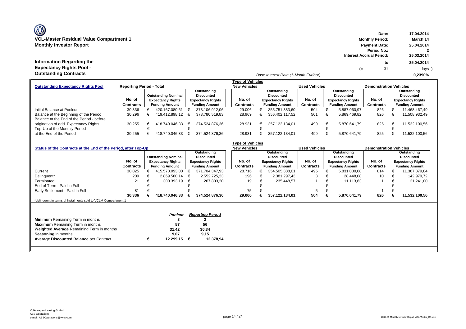# **Information Regarding the Expectancy Rights Pool -**

**Date: 17.04.2014 Monthly Investor Report Payment Date: 25.04.2014 Period No.: 2 Interest Accrual Period: 25.03.2014 to 25.04.2014** (= 31 days )

*Base Interest Rate (1-Month Euribor):* **Outstanding Contracts 0,2390%**

|                                                                              |           |  |                            |  |                          |  | <b>Type of Vehicles</b> |                     |                          |                          |             |                               |                          |  |                          |
|------------------------------------------------------------------------------|-----------|--|----------------------------|--|--------------------------|--|-------------------------|---------------------|--------------------------|--------------------------|-------------|-------------------------------|--------------------------|--|--------------------------|
| <b>Reporting Period - Total</b><br><b>Outstanding Expectancy Rights Pool</b> |           |  |                            |  |                          |  |                         | <b>New Vehicles</b> |                          | <b>Used Vehicles</b>     |             | <b>Demonstration Vehicles</b> |                          |  |                          |
|                                                                              |           |  |                            |  | Outstanding              |  |                         |                     | Outstanding              |                          | Outstanding |                               |                          |  | Outstanding              |
|                                                                              |           |  | <b>Outstanding Nominal</b> |  | <b>Discounted</b>        |  |                         |                     | Discounted               |                          |             | <b>Discounted</b>             |                          |  | <b>Discounted</b>        |
|                                                                              | No. of    |  | <b>Expectancy Rights</b>   |  | <b>Expectancy Rights</b> |  | No. of                  |                     | <b>Expectancy Rights</b> | No. of                   |             | <b>Expectancy Rights</b>      | No. of                   |  | <b>Expectancy Rights</b> |
|                                                                              | Contracts |  | <b>Funding Amount</b>      |  | <b>Funding Amount</b>    |  | Contracts               |                     | <b>Funding Amount</b>    | Contracts                |             | <b>Funding Amount</b>         | Contracts                |  | <b>Funding Amount</b>    |
| Initial Balance at Poolcut                                                   | 30.336    |  | 420.167.080.61             |  | 373.106.912.06           |  | 29.006                  |                     | 355.751.383.60           | 504                      |             | 5.887.060,97                  | 826                      |  | 11.468.467.49            |
| Balance at the Beginning of the Period                                       | 30.296    |  | 419.412.898.12             |  | 373.780.519.83           |  | 28.969                  |                     | 356.402.117.52           | 501                      |             | 5.869.469.82                  | 826                      |  | 11.508.932,49            |
| Balance at the End of the Period - before                                    |           |  |                            |  |                          |  |                         |                     |                          |                          |             |                               |                          |  |                          |
| origination of add. Expectancy Rights                                        | 30.255    |  | 418.740.046.33             |  | 374.524.876.36           |  | 28.931                  |                     | 357.122.134.01           | 499                      |             | 5.870.641.79                  | 825                      |  | 11.532.100.56            |
| Top-Up of the Monthly Period                                                 |           |  |                            |  |                          |  |                         |                     |                          | $\overline{\phantom{a}}$ |             | $\sim$                        | $\overline{\phantom{0}}$ |  |                          |
| at the End of the Period                                                     | 30.255    |  | 418.740.046.33             |  | 374.524.876.36           |  | 28.931                  |                     | 357.122.134.01           | 499                      |             | 5.870.641.79                  | 825                      |  | 11.532.100.56            |

|                                                                |                     |                            |   |                          | <b>Type of Vehicles</b> |                   |                               |                  |   |                          |                  |                          |
|----------------------------------------------------------------|---------------------|----------------------------|---|--------------------------|-------------------------|-------------------|-------------------------------|------------------|---|--------------------------|------------------|--------------------------|
| Status of the Contracts at the End of the Period, after Top-Up | <b>New Vehicles</b> |                            |   | <b>Used Vehicles</b>     |                         |                   | <b>Demonstration Vehicles</b> |                  |   |                          |                  |                          |
|                                                                |                     |                            |   | Outstanding              |                         |                   | Outstanding                   |                  |   | Outstanding              |                  | Outstanding              |
|                                                                |                     | <b>Outstanding Nominal</b> |   | <b>Discounted</b>        |                         | <b>Discounted</b> |                               |                  |   | <b>Discounted</b>        |                  | <b>Discounted</b>        |
|                                                                | No. of              | <b>Expectancy Rights</b>   |   | <b>Expectancy Rights</b> | No. of                  |                   | <b>Expectancy Rights</b>      | No. of           |   | <b>Expectancy Rights</b> | No. of           | <b>Expectancy Rights</b> |
|                                                                | Contracts           | <b>Funding Amount</b>      |   | <b>Funding Amount</b>    | Contracts               |                   | <b>Funding Amount</b>         | <b>Contracts</b> |   | <b>Funding Amount</b>    | <b>Contracts</b> | <b>Funding Amount</b>    |
| Current                                                        | 30.025              | 415.570.093,00             |   | 371.704.347,93           | 28.716                  |                   | 354.505.388,01                | 495              |   | 5.831.080,08             | 814              | 11.367.879,84            |
| Delinquent*                                                    | 209                 | 2.869.560,14               | € | 2.552.725,23             | 196                     |                   | 2.381.297,43                  | 3                | € | 28.448,08                | 10               | 142.979,72               |
| Terminated                                                     | 21                  | 300.393,19                 | € | 267.803,20               | 19                      |                   | 235.448.57                    |                  |   | 11.113,63                |                  | 21.241,00                |
| End of Term - Paid in Full                                     |                     |                            |   |                          |                         |                   |                               |                  |   |                          |                  |                          |
| Early Settlement - Paid in Full                                | 81                  |                            |   |                          | 75                      |                   |                               | 5                |   |                          |                  |                          |
|                                                                | 30.336              | 418.740.046,33             |   | 374.524.876.36           | 29.006                  |                   | 357.122.134,01                | 504              |   | 5.870.641,79             | 826              | 11.532.100,56            |
| *delinguent in terms of Instalments sold to VCLM Compartment 1 |                     |                            |   |                          |                         |                   |                               |                  |   |                          |                  |                          |
|                                                                |                     |                            |   |                          |                         |                   |                               |                  |   |                          |                  |                          |
|                                                                |                     |                            |   |                          |                         |                   |                               |                  |   |                          |                  |                          |
|                                                                |                     | <b>Poolcut</b>             |   | <b>Reporting Period</b>  |                         |                   |                               |                  |   |                          |                  |                          |
| <b>Minimum</b> Remaining Term in months                        |                     |                            |   |                          |                         |                   |                               |                  |   |                          |                  |                          |
| <b>Maximum</b> Remaining Term in months                        |                     | 57                         |   | 56                       |                         |                   |                               |                  |   |                          |                  |                          |
| Weighted Average Remaining Term in months                      |                     | 31,42                      |   | 30,34                    |                         |                   |                               |                  |   |                          |                  |                          |
| Seasoning in months                                            |                     | 9,07                       |   | 9,15                     |                         |                   |                               |                  |   |                          |                  |                          |
| <b>Average Discounted Balance per Contract</b>                 |                     | 12.299,15                  | € | 12.378,94                |                         |                   |                               |                  |   |                          |                  |                          |
|                                                                |                     |                            |   |                          |                         |                   |                               |                  |   |                          |                  |                          |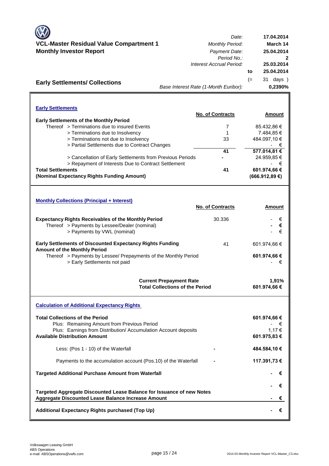|                                                                                                                             | Date:                                                                    | 17.04.2014            |
|-----------------------------------------------------------------------------------------------------------------------------|--------------------------------------------------------------------------|-----------------------|
| VCL-Master Residual Value Compartment 1                                                                                     | <b>Monthly Period:</b>                                                   | March 14              |
| <b>Monthly Investor Report</b>                                                                                              | Payment Date:                                                            | 25.04.2014            |
|                                                                                                                             | Period No.:<br>Interest Accrual Period:                                  | 25.03.2014            |
|                                                                                                                             |                                                                          | 25.04.2014<br>to      |
|                                                                                                                             |                                                                          | $(=$<br>31 days )     |
| <b>Early Settlements/ Collections</b>                                                                                       | Base Interest Rate (1-Month Euribor):                                    | 0,2390%               |
|                                                                                                                             |                                                                          |                       |
| <b>Early Settlements</b>                                                                                                    |                                                                          |                       |
| <b>Early Settlements of the Monthly Period</b>                                                                              | No. of Contracts                                                         | Amount                |
| Thereof > Terminations due to insured Events                                                                                | 7                                                                        | 85.432,86 €           |
| > Terminations due to Insolvency                                                                                            | 1                                                                        | 7.484,85 €            |
| > Terminations not due to Insolvency                                                                                        | 33                                                                       | 484.097,10 €          |
| > Partial Settlements due to Contract Changes                                                                               |                                                                          | - €                   |
|                                                                                                                             | 41                                                                       | 577.014,81 €          |
| > Cancellation of Early Settlements from Previous Periods                                                                   |                                                                          | 24.959,85€            |
| > Repayment of Interests Due to Contract Settlement                                                                         |                                                                          | €                     |
| <b>Total Settlements</b>                                                                                                    | 41                                                                       | 601.974,66 €          |
| (Nominal Expectancy Rights Funding Amount)                                                                                  |                                                                          | (666.912,89€)         |
| <b>Monthly Collections (Principal + Interest)</b>                                                                           | No. of Contracts                                                         | Amount                |
| <b>Expectancy Rights Receivables of the Monthly Period</b>                                                                  | 30.336                                                                   | €                     |
| Thereof > Payments by Lessee/Dealer (nominal)                                                                               |                                                                          | €                     |
| > Payments by VWL (nominal)                                                                                                 |                                                                          | €                     |
| <b>Early Settlements of Discounted Expectancy Rights Funding</b><br><b>Amount of the Monthly Period</b>                     | 41                                                                       | 601.974,66 €          |
| Thereof > Payments by Lessee/ Prepayments of the Monthly Period                                                             |                                                                          | 601.974,66 €          |
| > Early Settlements not paid                                                                                                |                                                                          | €                     |
|                                                                                                                             | <b>Current Prepayment Rate</b><br><b>Total Collections of the Period</b> | 1.91%<br>601.974,66 € |
| <b>Calculation of Additional Expectancy Rights</b>                                                                          |                                                                          |                       |
| <b>Total Collections of the Period</b>                                                                                      |                                                                          | 601.974,66 €          |
| Plus: Remaining Amount from Previous Period                                                                                 |                                                                          |                       |
| Plus: Earnings from Distribution/ Accumulation Account deposits                                                             |                                                                          | 1,17 €                |
| <b>Available Distribution Amount</b>                                                                                        |                                                                          | 601.975,83 €          |
| Less: (Pos 1 - 10) of the Waterfall                                                                                         |                                                                          | 484.584,10 €          |
| Payments to the accumulation account (Pos.10) of the Waterfall                                                              |                                                                          | 117.391,73 €          |
| <b>Targeted Additional Purchase Amount from Waterfall</b>                                                                   |                                                                          | €                     |
|                                                                                                                             |                                                                          | €                     |
| Targeted Aggregate Discounted Lease Balance for Issuance of new Notes<br>Aggregate Discounted Lease Balance Increase Amount |                                                                          |                       |
|                                                                                                                             |                                                                          | €                     |
| Additional Expectancy Rights purchased (Top Up)                                                                             |                                                                          | €                     |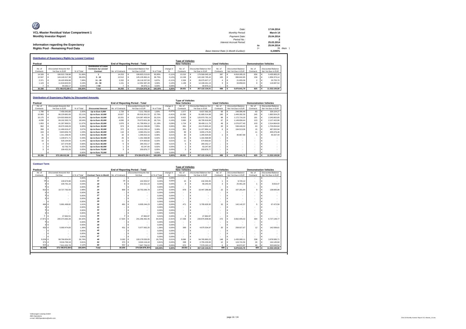| O<br>VCL-Master Residual Value Compartment 1                                     | Date:<br>Monthly Period:                                          |          | 17.04.2014<br>March 14                           |
|----------------------------------------------------------------------------------|-------------------------------------------------------------------|----------|--------------------------------------------------|
| <b>Monthly Investor Report</b>                                                   | Payment Date:<br>Period No.:                                      |          | 25.04.2014                                       |
| Information regarding the Expectancy<br><b>Rights Pool - Remaining Pool Data</b> | Interest Accrual Period:<br>Base Interest Rate (1-Month Euribor): | to<br>′= | 25.03.2014<br>25.04.2014<br>31 days )<br>0.2390% |
| <b>Distribution of Expectancy Rights by Lessee/ Contract</b>                     |                                                                   |          |                                                  |

|           |                        |            |                                                      |                  |                                        |            |           | <b>Type of Vehicles</b> |                        |                      |                    |                               |  |                           |  |
|-----------|------------------------|------------|------------------------------------------------------|------------------|----------------------------------------|------------|-----------|-------------------------|------------------------|----------------------|--------------------|-------------------------------|--|---------------------------|--|
| Poolcut   |                        |            |                                                      |                  | <b>End of Reporting Period - Total</b> |            |           | <b>New Vehicles</b>     |                        | <b>Used Vehicles</b> |                    | <b>Demonstration Vehicles</b> |  |                           |  |
| No. of    | Discounted Amounts Not |            | <b>Distribution of Lease</b><br>Contracts by Lessee/ |                  | <b>Discounted Balance Not</b>          |            | change in | No. of                  | Discounted Balance Not | No. of               | Discounted Balance | No. of                        |  | <b>Discounted Balance</b> |  |
| Contracts | Yet Due in EUR         | % of Total | Contract                                             | No. of Contracts | Yet Due in EUR                         | % of Total |           | Contracts               | Yet Due in EUR         | Contracts            | Not Yet Due in EUR | Contracts                     |  | Not Yet Due in EUR        |  |
| 14.328    | 190.522.738.98         | 51.06%     |                                                      | 14.253           | 190.823.213.63                         | 50.95%     | $-0.11%$  | 13.210                  | 176,569,045.18         | 387                  | 4.818.285.25       | 656                           |  | 9.435.883.20              |  |
| 12.507    | 144.149.317.38         | 38.63%     | $2 - 10$                                             | 12.512           | 145.135.962.41                         | 38.75%     | 0.12%     | 12.249                  | 142.182.745.42         | 105                  | 996.842.85         | 158                           |  | 1.956.374.14              |  |
| 2.371     | 26,420,959.98          | 7.08%      | $11 - 20$                                            | 2.332            | 26.118.337.93                          | 6.97%      | $-0.11%$  | 2.326                   | 26.075.927.17          |                      | 21.655.06          |                               |  | 20,755.70                 |  |
| 1.123     | 11.919.603.55          | 3.19%      | $21 - 50$                                            | 1.151            | 12.352.387.28                          | 3.30%      | 0.10%     | 1.139                   | 12.199.441.13          |                      | 33,858.63          |                               |  | 119,087.52                |  |
|           | 94.292.17              | 0.03%      | > 50                                                 |                  | 94.975.11                              | 0.03%      | 0.00%     |                         | 94.975.11              |                      |                    |                               |  |                           |  |
| 30,336    | 373.106.912.06 €       | 100,00%    | Total                                                | 30.255           | 374,524,876,36                         | 100.00%    | 0.00%     | 28.931                  | 357.122.134.01         | 499                  | 5,870,641.79       | 825                           |  | 11,532,100.56             |  |
|           |                        |            |                                                      |                  |                                        |            |           |                         |                        |                      |                    |                               |  |                           |  |

#### **Distribution of Expectancy Rights by Discounted Amounts**

|           | <b>Distribution of Expectancy Rights by Discounted Amounts</b> |            |                          |                                        |                               |            |           |                         |  |                               |                      |  |                           |                               |  |                           |  |  |
|-----------|----------------------------------------------------------------|------------|--------------------------|----------------------------------------|-------------------------------|------------|-----------|-------------------------|--|-------------------------------|----------------------|--|---------------------------|-------------------------------|--|---------------------------|--|--|
|           |                                                                |            |                          |                                        |                               |            |           | <b>Type of Vehicles</b> |  |                               |                      |  |                           |                               |  |                           |  |  |
| Poolcut   |                                                                |            |                          | <b>End of Reporting Period - Total</b> |                               |            |           | <b>New Vehicles</b>     |  |                               | <b>Used Vehicles</b> |  |                           | <b>Demonstration Vehicles</b> |  |                           |  |  |
| No. of    | <b>Discounted Amounts Not</b>                                  |            |                          |                                        | <b>Discounted Amounts Not</b> |            | change in | No. of                  |  | <b>Discounted Balance Not</b> | No of                |  | <b>Discounted Balance</b> | No. of                        |  | <b>Discounted Balance</b> |  |  |
| Contracts | Yet Due in EUR                                                 | % of Total | <b>Discounted Amount</b> | No. of Contracts                       | Yet Due in EUR                | % of Total |           | Contracts               |  | Yet Due in EUR                | Contracts            |  | Not Yet Due in EUR        | Contracts                     |  | Not Yet Due in EUR        |  |  |
| 1.788     | 7.456.043.89                                                   | 2.00%      | Up to Euro 5,000         | 1.728                                  | 7.211.783.03                  | 1.93%      | $-0.07%$  | 1.577                   |  | 6.637.592.28                  | 68                   |  | 248.086.48                | 83                            |  | 326.104.27                |  |  |
| 10.983    | 86.229.882.69                                                  | 23.11%     | Up to Euro 10,000        | 10.827                                 | 85.018.301.53                 | 22.70%     | $-0.41%$  | 10.392                  |  | 81.685.514.98                 | 190                  |  | 1449.282.30               | 245                           |  | .883.504.25               |  |  |
| 10.175    | 124.003.969.93                                                 | 33.24%     | Up to Euro 15,000        | 10.201                                 | 124.387.400.04                | 33.21%     | $-0.02%$  | 9.922                   |  | 120.970.781.19                | 98                   |  | 1.172.716.20              | 181                           |  | 2.243.902.65              |  |  |
| 4.038     | 69.192.393.74                                                  | 18.54%     | Up to Euro 20,000        | 4.090                                  | 70.073.001.39                 | 18.71%     | 0.16%     | 3,900                   |  | 66,795,919.99                 | 67                   |  | 1.149.658.44              | 123                           |  | 2.127.422.96              |  |  |
| 1.853     | 41.287.969.51                                                  | 11.07%     | Up to Euro 25,000        | 1.876                                  | 41.799.954.12                 | 11.16%     | 0.09%     | 724                     |  | 38.408.111.79                 | 49                   |  | 1.076.977.40              | 103                           |  | 2.314.864.93              |  |  |
| 962       | 26.070.348.29                                                  | 6.99%      | Up to Euro 30,000        | 974                                    | 26.412.298.08                 | 7.05%      | 0.06%     | 891                     |  | 24.170.803.42                 | 20                   |  | 538.440.02                | 63                            |  | .703.054.64               |  |  |
| 358       | 11.466.616.47                                                  | 3.07%      | Up to Euro 35,000        | 372                                    | 11.910.230.14                 | 3.18%      | 0.11%     | 351                     |  | 11.227.884.14                 |                      |  | 194,513.06                | 15                            |  | 487.832.94                |  |  |
| 104       | 3.843.656.78                                                   | 1.03%      | Up to Euro 40,000        | 110                                    | 4.060.251.53                  | 1.08%      | 0.05%     | 99                      |  | 3.655.175.05                  |                      |  |                           |                               |  | 405.076.48                |  |  |
| 31        | 1.311.268.45                                                   | 0.35%      | Up to Euro 45,000        | 32                                     | 1.346.810,16                  | 0.36%      | 0.01%     | 30                      |  | 1.265.504.83                  |                      |  | 40.967.89                 |                               |  | 40.337.44                 |  |  |
| 26        | 1.228.971.71                                                   | 0.33%      | Up to Euro 50,000        | 25                                     | 1.181.568.98                  | 0.32%      | $-0.01%$  | 25                      |  | 1.181.568.98                  |                      |  |                           |                               |  |                           |  |  |
|           | 526.194.56                                                     | 0.14%      | Up to Euro 55,000        |                                        | 574.900.82                    | 0.15%      | 0.01%     |                         |  | 574.900.82                    |                      |  |                           |                               |  |                           |  |  |
|           | 227,370.99                                                     | 0.06%      | Up to Euro 60,000        |                                        | 284.252.17                    | 0.08%      | 0.01%     |                         |  | 284.252.17                    |                      |  |                           |                               |  |                           |  |  |
|           | 62,792.79                                                      | 0.02%      | Up to Euro 65,000        |                                        | 63.247.60                     | 0.02%      | 0.00%     |                         |  | 63,247.60                     |                      |  |                           |                               |  |                           |  |  |
|           | 199.432.26                                                     | 0.05%      | Up to Euro 70,000        |                                        | 200.876.77                    | 0.05%      | 0.00%     |                         |  | 200.876.77                    |                      |  |                           |                               |  |                           |  |  |
|           |                                                                | 0.00%      | Up to Euro 75,000        |                                        |                               | 0.00%      | 0.00%     |                         |  |                               |                      |  |                           |                               |  |                           |  |  |
| 30,336    | 373,106,912.06                                                 | 100.00%    | <b>Total</b>             | 30.255                                 | 374.524.876.36 €              | 100.00%    | 0.00%     | 28,931                  |  | 357.122.134.01                | 499                  |  | 5.870.641.79              | 825                           |  | 11.532.100.56             |  |  |

| <b>Contract Term</b> |                               |               |                               |                  |                                        |               |           |                          |            |                               |                          |                            |                          |                               |
|----------------------|-------------------------------|---------------|-------------------------------|------------------|----------------------------------------|---------------|-----------|--------------------------|------------|-------------------------------|--------------------------|----------------------------|--------------------------|-------------------------------|
|                      |                               |               |                               |                  |                                        |               |           | <b>Type of Vehicles</b>  |            |                               |                          |                            |                          |                               |
| Poolcut              |                               |               |                               |                  | <b>End of Reporting Period - Total</b> |               |           | <b>New Vehicles</b>      |            |                               | <b>Used Vehicles</b>     |                            |                          | <b>Demonstration Vehicles</b> |
| No. of               | <b>Discounted Amounts Not</b> |               |                               |                  | <b>Discounted Amounts Not</b>          |               | change in | No of                    |            | <b>Discounted Balance Not</b> | No of                    | Discounted Balance         | No of                    | <b>Discounted Balance</b>     |
| Contracts            | Yet Due                       | in % of Total | <b>Contract Term in Month</b> | No. of Contracts | Yet Due                                | in % of Total | %         | Contracts                |            | Yet Due in EUR                | Contracts                | Not Yet Due in EUR         | Contracts                | Not Yet Due in EUR            |
|                      | $0 \in$<br>$\sim$             | 0.00%         | я                             |                  | ¢<br>$\sim$                            | 0.00%         | 0.00%     |                          | $\epsilon$ | $\overline{\phantom{a}}$      | $\sim$                   | G<br>$\sim$                | $\overline{\phantom{a}}$ | c                             |
| 16                   | 130,670.98<br>¢               | 0.04%         | 12                            | 16               | 142.053.57                             | 0.04%         | 0.00%     | 15                       | с          | 132.333.45                    |                          | 9.720.12                   | ٠                        | c                             |
|                      | 100.791.16                    | 0.03%         | 18                            |                  | 101.521,19                             | 0.03%         | 0.00%     |                          | $\epsilon$ | 66,243,43                     | $\mathbf{a}$             | 25.461.29                  |                          | c<br>9,816.47                 |
|                      | $\sim$                        | 0.00%         | 22                            |                  | $\overline{\phantom{a}}$               | 0.00%         | 0.00%     | $\overline{\phantom{a}}$ | $\epsilon$ |                               | $\overline{\phantom{a}}$ | $\sim$                     | $\overline{\phantom{a}}$ | c                             |
| 913                  | 10,727,792.59<br>$\epsilon$   | 2.88%         | 24                            | 909              | 10.753.266.78                          | 2.87%         | 0.00%     | 878                      | $\epsilon$ | 10,447,288.98                 | 22                       | 167.281.84                 | 9                        | c<br>138,695.96               |
|                      |                               | 0.00%         | 26                            |                  | $\overline{\phantom{a}}$               | 0.00%         | 0.00%     |                          | $\epsilon$ |                               | $\sim$                   |                            | $\overline{\phantom{a}}$ | ¢                             |
|                      |                               | 0.00%         | 27                            |                  | $\sim$                                 | 0.00%         | 0.00%     | $\overline{\phantom{a}}$ | $\epsilon$ | $\overline{\phantom{a}}$      | $\sim$                   | $\sim$                     | $\overline{\phantom{a}}$ |                               |
|                      |                               | 0.00%         | 28                            |                  | $\sim$                                 | 0.00%         | 0.00%     | $\sim$                   | €          | $\overline{\phantom{a}}$      | $\overline{\phantom{a}}$ | $\sim$                     | ۰.                       | c                             |
|                      |                               | 0.00%         | 29                            |                  | ¢<br>$\overline{\phantom{a}}$          | 0.00%         | 0.00%     | $\overline{\phantom{a}}$ | €          | $\overline{\phantom{a}}$      |                          | $\sim$                     | $\overline{\phantom{a}}$ | €                             |
| 494                  | 5.991.499.82                  | 1.61%         | 30                            | 491              | 6.005.244.23<br>¢                      | 1.60%         | 0.00%     | 47'                      | $\epsilon$ | 5,795,629.30                  | 15                       | 142.142.37                 | 5                        | ¢<br>67,472.56                |
|                      |                               | 0.00%         | 33                            |                  | $\sim$                                 | 0.00%         | 0.00%     | $\overline{\phantom{a}}$ | $\epsilon$ |                               | $\sim$                   |                            | $\overline{\phantom{a}}$ | ¢                             |
|                      |                               | 0.00%         | 32                            |                  | $\sim$                                 | 0.00%         | 0.00%     |                          | €          | $\overline{\phantom{a}}$      | $\overline{\phantom{a}}$ | $\sim$                     | ٠                        | ¢                             |
|                      |                               | 0.00%         | 34                            |                  | $\overline{\phantom{a}}$               | 0.00%         | 0.00%     | $\sim$                   | $\epsilon$ | $\sim$                        | $\overline{\phantom{a}}$ | $\sim$                     | $\overline{\phantom{a}}$ | c                             |
| $\overline{2}$       | 27.662.51<br>¢                | 0.01%         | 35                            |                  | 27.862.87<br>c                         | 0.01%         | 0.00%     | $\overline{2}$           | €          | 27.862.87                     | $\sim$                   | $\sim$                     | $\overline{\phantom{a}}$ | €                             |
| 17.971               | 240.373.392.28                | 64.42%        | 36                            | 17.924           | 241.266.462.45                         | 64.42%        | $-0.01%$  | 17,258                   | €          | 230.876.908.66                | 272                      | 3.662.405.02               | 394                      | €<br>6,727,148.77             |
|                      |                               | 0.00%         | 38                            |                  | c<br>$\sim$                            | 0.00%         | 0.00%     | $\sim$                   | $\epsilon$ |                               | $\overline{\phantom{a}}$ |                            | ٠                        | c                             |
|                      |                               | 0.00%         | 39                            |                  |                                        | 0.00%         | 0.00%     | $\sim$                   | $\epsilon$ |                               |                          |                            |                          | c                             |
| 433                  | 5.060.474.83<br>c             | 1.36%         | 42                            | 431              | 5.077.062.25<br>¢                      | 1.36%         | 0.00%     | 399                      | $\epsilon$ | 4.675.534.97                  | 20                       | 258.927.67                 | 12                       | ¢<br>142,599.61               |
|                      |                               | 0.00%         | 45                            |                  | $\overline{\phantom{a}}$               | 0.00%         | 0.00%     | $\sim$                   |            |                               | $\sim$                   |                            | ٠                        | c                             |
|                      |                               | 0.00%         | 46                            |                  | $\sim$                                 | 0.00%         | 0.00%     | $\sim$                   |            |                               | $\sim$                   |                            | ٠                        |                               |
|                      |                               | 0.00%         | 47                            |                  | $\sim$                                 | 0.00%         | 0.00%     | $\sim$                   | $\epsilon$ |                               | $\overline{\phantom{a}}$ |                            | ٠                        | c                             |
| 9.204                | 99.766.834.93<br>$\epsilon$   | 26.74%        | 48                            | 9.182            | ¢<br>100.179.530.05                    | 26.75%        | 0.01%     | 8,696                    | $\epsilon$ | 94.765.860.23                 | 148                      | 1.435.089.11<br>$\epsilon$ | 338                      | €<br>3.978.580.71             |
| 37'                  | 3.016.760.18                  | 0.81%         | 54                            | 370              | 3.024.116.44                           | 0.81%         | 0.00%     | 338                      | $\epsilon$ | 2.755.229.00                  | 12                       | 124,741.50<br>€            | 20                       | c<br>144, 145, 94             |
| 924                  | 7.911.032.78                  | 2,12%         | 60                            | 922              | 7.947.756.53                           | 2.12%         | 0.00%     | 870                      | $\epsilon$ | 7.579.243.12                  | ĥ                        | 44.872.87                  | 46                       | 323,640.54                    |
| 30,336               | 373,106,912.06                | 100,00%       | <b>Total</b>                  | 30.255           | 374.524.876.36 €                       | 100.00%       | 0.00%     | 28,931                   | $\epsilon$ | 357.122.134.01                | 499                      | 5,870,641.79               | 825                      | 11,532,100.56<br>¢            |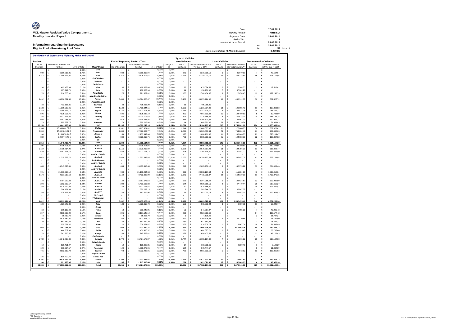| O<br>VCL-Master Residual Value Compartment 1         | Date:<br>Monthly Period:              |     | 17.04.2014<br>March 14 |
|------------------------------------------------------|---------------------------------------|-----|------------------------|
| <b>Monthly Investor Report</b>                       | Payment Date:                         |     | 25.04.2014             |
|                                                      | Period No.:                           |     |                        |
|                                                      | Interest Accrual Period:              |     | 25.03.2014             |
| Information regarding the Expectancy                 |                                       | to  | 25.04.2014             |
| <b>Rights Pool - Remaining Pool Data</b>             |                                       | $=$ | 31 days 1              |
|                                                      | Base Interest Rate (1-Month Euribor): |     | 0.2390%                |
| Distribution of Expectancy Rights by Make and Modell |                                       |     |                        |

| Poolcut   |                               |               |                          |                  | End of Reporting Period - Total |                |           | <b>Type of Vehicles</b><br><b>New Vehicles</b> |            |                        | <b>Used Vehicles</b> |                           |                | <b>Demonstration Vehicles</b> |
|-----------|-------------------------------|---------------|--------------------------|------------------|---------------------------------|----------------|-----------|------------------------------------------------|------------|------------------------|----------------------|---------------------------|----------------|-------------------------------|
| No. of    | <b>Discounted Amounts Not</b> |               |                          |                  | <b>Discounted Amounts Not</b>   |                | change in | No. of                                         |            | Discounted Balance Not | No. of               | <b>Discounted Balance</b> | No. of         | <b>Discounted Balance</b>     |
| Contracts | Yet Due                       | in % of Total | <b>Make/Modell</b>       | No. of Contracts | Yet Due                         | in % of Tota.  | %         | Contracts                                      |            | Yet Due in EUR         | Contracts            | Not Yet Due in EUR        | Contracts      | Not Yet Due in EUR            |
|           | ¢                             | 0.00%         | Fox                      |                  | c                               | 0.00%          | 0.00%     |                                                | €          |                        |                      | ¢                         |                | ¢                             |
| 989       | ¢<br>6.350.915,85             | 1.70%         | Polo                     | 988              | c<br>6.389.312,94               | 1,71%          | 0,009     | 975                                            | €          | 6.316.838,10           | 6                    | ¢<br>31,970.80            | $\overline{7}$ | €<br>40.504.04                |
| 3.277     | €<br>31.969.414,01            | 8,57%         | Golf                     | 3.270            | 32.126.402,61<br>É              | 8,58%          | 0,019     | 3.176                                          | €          | 31.349.971,11          | 49                   | €<br>348.322,44           | 45             | €<br>428.109,06               |
|           | €                             | 0.00%         | <b>Golf Variant</b>      |                  |                                 | 0,00%          | 0,009     |                                                | €          |                        |                      | Ë                         |                | €                             |
|           | ¢                             | 0,009         | <b>Golf Plus</b>         |                  | ¢                               | 0,00%          | 0,009     |                                                | €          |                        |                      | ¢                         |                | ¢                             |
|           | ¢                             | 0,00%         | Golf Cabrio              |                  | ¢                               | 0,00%          | 0,009     |                                                | €          |                        |                      | ¢                         |                | ¢                             |
| 36        | ¢<br>465 458 34               | 0,12%         | Eos                      | 36               | ¢<br>468 829 68                 | 0,13%          | 0,00%     | 33                                             | ¢          | 435 074 53             | $\sqrt{2}$           | Ë<br>16.244,53            | $\overline{1}$ | ¢<br>17.510,62                |
| 21        | ¢<br>187.247,71               | 0,05%         | Jetta                    | 21               | 188.603,96<br>¢                 | 0,05%          | 0,00%     | 14                                             | €          | 130.701,06             | $\overline{7}$       | Ë<br>57.902,90            |                | ¢                             |
| 176       | €<br>1.918.003,91             | 0,51%         | <b>New Beetle</b>        | 175              | 1.921.327,61<br>¢               | 0.51%          | 0,00%     | 160                                            | €          | 1.769.404,65           | 3                    | Ë<br>22.674,43            | 12             | €<br>129.248,53               |
|           | G                             | 0.00%         | <b>New Beetle Cabrio</b> |                  |                                 | 0,00%          | 0.00%     |                                                | $\epsilon$ |                        |                      | c                         |                | ¢                             |
| 3.492     | ¢<br>38.900.821,58            | 10 439        | Passat                   | 3.486            | 39.094.565,47<br>¢              | 10 449         | 0.019     | 3.408                                          | $\epsilon$ | 38.273.724.88          | 46                   | ¢<br>458 312 87           | 32             | 362.527.72<br>¢               |
|           | ¢                             | 0,00%         | <b>Passat Variant</b>    |                  | c                               | 0.009          | 0.00%     |                                                | $\epsilon$ |                        |                      | ¢                         |                | ¢                             |
| 33        | ¢<br>402.155.35               | 0.119         | Scirocco                 | 33               | 405.068.20<br>F                 | 0.119          | 0,009     | 33                                             | $\epsilon$ | 405.068.20             |                      | c                         |                | ¢                             |
| 1.133     | €<br>11.389.590,41            | 3,059         | Touran                   | 1.130            | 11.439.344,15<br>F              | 3,05%          | 0.00%     | 1.106                                          | €          | 11.231.234.89          | 13                   | €<br>100.805.43           | 11             | ¢<br>107.303.83               |
| 1.162     | €<br>16.360.717,11            | 4,389         | Tiguan                   | 1.157            | 16.427.001,29<br>É              | 4,39%          | 0,009     | 1.136                                          | €          | 16.143.404,70          | 3                    | €<br>24.831,28            | 18             | €<br>258.765,31               |
| 506       | 7.125.908,75<br>€             | 1,919         | Sharan                   | 506              | 7.175.032,10<br>É               | 1,92%          | 0,019     | 490                                            | €          | 7.007.839,38           | 11                   | 104.409,63<br>€           | 5              | €<br>62.783,09                |
| 335       | €<br>8.017.727.26             | 2.15%         | Touareg                  | 335              | É<br>8.070.102,63               | 2,15%          | 0.01%     | 303                                            | €          | 7.315.346.46           | 8                    | 169.622,79<br>€           | 24             | €<br>585.133,38               |
| 920       | €<br>4.467.945,36             | 1,20%         | up!                      | 919              | €<br>4.494.437,46               | 1,20%          | 0.00%     | 886                                            | €          | 4.356.503,82           | 6                    | €<br>24.964,27            | 27             | €<br>112.969,37               |
| 79        | 1.885.557,75                  | 0.519         | Phaeton                  | 79               | 1.899.215,04                    | 0,51%          | 0,00%     | 14                                             |            | 448.991,87             | 63                   | 1.399.139,74              |                | ¢<br>51.083,43                |
| 12.159    | 129.441.463,39                | 34,69%        | VW                       | 12.135           | ¢<br>130.099.243,14             | 34,74%         | 0,04%     | 11.734                                         | ¢          | 125.184.103,65         | 217                  | ¢<br>2.759.201,11         | 184            | ¢.<br>2.155.938,38            |
| 1.934     | 13.090.082,39 €               | 3,519         | Caddy                    | 1.931            | ¢<br>13.165.904,61              | 3,529          | 0,019     | 1.844                                          | €          | 12.648.683,37          | 31                   | €<br>177.600,83           | 56             | ¢<br>339.620,41               |
| 2.390     | 27.431.649,72 €               | 7,35%         | <b>Transporter</b>       | 2.380            | 27.476.862,77<br>¢              | 7,34%          | $-0.02%$  | 2.235                                          | €          | 25.923.606,34          | 74                   | €<br>764.224,40           | 71             | €<br>789.032,03               |
| 160       | 2.134.874,14 €                | 0,57%         | Amarok                   | 159              | ¢<br>2.133.947.66               | 0,57%          | 0,00%     | 125                                            | €          | 1.680.161.36           | 11                   | 130.666,83<br>€           | 23             | €<br>323.119,47               |
| 832       | 8.992.110.45 €                | 2.41%         | Crafter                  | 830              | 9.028.819.76<br>¢               | 2.41%          | 0.00%     | 783                                            | €          | 8.635.268.61           | 25                   | €<br>194.153.83           | 22             | €<br>199.397.32               |
|           | $\epsilon$                    | 0,00%         | LT                       |                  |                                 | 0.00%          | 0,00%     |                                                |            |                        |                      | ċ                         |                | ċ                             |
| 5.316     | 51.648.716,70                 | 13,84%        | <b>VWN</b>               | 5.300            | 51.805.534,80                   | 13,83%         | $-0,01%$  | 4.987                                          |            | 48.887.719,68          | 141                  | ¢<br>1.266.645,89         | 172            | ¢<br>1.651.169,23             |
| 305       | €<br>2.705.705,81             | 0,73%         | Audi A1                  | 303              | 2.706.201,94<br>c               | 0.729          | 0.00%     | 279                                            | €          | 2.506.238,46           | 6                    | €<br>37.389,53            | 18             | ¢<br>162.573,95               |
| 1.159     | 14.795.734,90<br>€            | 3,979         | Audi A3                  | 1.156            | 14.870.412,69                   | 3,97%          | 0,009     | 1.092                                          | €          | 14.076.757,93          | 13                   | €<br>124.756,29           | 51             | €<br>668.898,47               |
| 539       | ¢<br>8.182.725,74             | 2,199         | Audi Q3                  | 538              | 8.222.191,12                    | 2,20%          | 0,009     | 508                                            | €          | 7.764.334,30           | $\sqrt{2}$           | €<br>20.487,02            | 28             | c<br>437.369,80               |
|           | €                             | 0,00%         | Audi A3 Cabrio           |                  |                                 | 0,00%          | 0,00%     |                                                | €          |                        |                      | €                         |                | ¢                             |
| 2.076     | 31.315.636,70<br>€            | 8.399         | Audi A4                  | 2.069            | 31.392.842,03<br>É              | 8,38%          | $-0.019$  | 2.000                                          | €          | 30.350.190,54          | 28                   | 307.457,05<br>€           | 41             | €<br>735.194,44               |
|           | €                             | 0.00%         | Audi A4 Avant            |                  | É                               | 0,00%          | 0.00%     |                                                | €          |                        |                      | €                         |                | €                             |
|           | €                             | 0.00%         | Audi A4 Cabrio           |                  |                                 | 0,00%          | 0.009     |                                                | €          |                        |                      | €                         |                | €                             |
| 685       | ¢<br>13.345.520,41            | 3.58%         | Audi A5                  | 683              | ¢<br>13.403.310,48              | 3,58%          | 0.00%     | 642                                            | €          | 12.605.951,10          | 8                    | ¢<br>132.373,92           | 33             | ¢<br>664.985,46               |
|           | ¢                             | 0,00%         | Audi A5 Cabrio           |                  | ¢                               | 0,00%          | 0,00%     |                                                | ¢          |                        |                      | ¢                         |                | ¢                             |
| 991       | ¢<br>21.060.065.12            | 5.64%         | Audi Q5                  | <b>GRR</b>       | 21.153.434.63<br>c              | 5,65%          | 0.00%     | 936                                            | $\epsilon$ | 20.038.197.64          | 6                    | €<br>111 284 65           | 46             | $\epsilon$<br>1 003 952 34    |
| 2.174     | 49.331.537.58<br>¢            | 13.229        | Audi A6                  | 2.164            | 49.403.388.00<br>F              | 13,19%         | $-0.039$  | 2.07                                           | €          | 47.415.991.87          | 32                   | €<br>564.119.98           | 61             | €<br>1.423.276.15             |
|           | ¢                             | 0.00%         | Audi A6 Avant            |                  | ¢                               | 0.00%          | 0,009     |                                                | $\epsilon$ |                        |                      | €                         |                | ¢                             |
| 140       | ¢<br>3,784,020.83             | 1.019         | Audi A7                  | 139              | ¢<br>3.787.676.58               | 1.01%          | 0.00%     | 122                                            | €          | 3.364.058.62           | 5                    | €<br>102.637.87           | 12             | €<br>320,980.09               |
| 204       | €<br>5.362.820,57             | 1,449         | Audi O7                  | 204              | €<br>5.401.663,82               | 1,44%          | 0.00%     | 174                                            | €          | 4.636.568,11           | $\overline{2}$       | €<br>47.479,44            | 28             | €<br>717.616,27               |
| 69        | €<br>2.428.219,28             | 0,659         | Audi AS                  | 68               | €<br>2.402.116,84               | 0.64%          | $-0,019$  | 50                                             | €          | 1.878.656,00           |                      | €                         | 18             | €<br>523.460,84               |
| 11        | €<br>566.131,64               | 0,15%         | <b>Audi RS</b>           | 11               | €<br>570.232,15                 | 0.15%          | 0,009     | $\overline{9}$                                 | €          | 503.344,78             | $\overline{2}$       | €<br>66.887,37            |                | €                             |
| 69        | €<br>1.135.376,40             | 0,309         | Audi TT                  | 69               | €<br>1.143.599,96               | 0.31%          | 0,009     | 55                                             | €          | 883.039,14             | $\overline{4}$       | €<br>67.582,29            | 10             | €<br>192.978,53               |
|           | €                             | 0,00%         | TT Coupé                 |                  | É                               | 0,00%          | 0,00%     |                                                | €          |                        |                      | €                         |                | €                             |
|           |                               | 0,00%         | <b>TT Roadster</b>       |                  |                                 | 0,00%          | 0,00%     |                                                |            |                        |                      | ¢                         |                |                               |
| 8.422     | 154.013.494,98<br>¢           | 41,28%        |                          | 8.392            | 154.457.070,24<br>€             | 41,24%         | $-0,04%$  | 7.938                                          | €          | 146.023.328,49         | 108                  | 1.582.455,41<br>€         | 346            | 6.851.286,34<br>€             |
| 184       | €<br>1.026.842.38             | 0.28%         | Audi<br>Ibiza            | 183              | É<br>1.028.312,72               | 0.27%          | 0.00%     | 169                                            | €          | 965.383.24             | 3                    | €<br>9.680.71             | 11             | €<br>53,248.77                |
|           |                               | 0.009         |                          |                  | Ġ                               |                | 0.00%     |                                                |            |                        |                      | c                         |                | ¢                             |
| 58        | ¢                             |               | Arosa                    | 58               |                                 | 0,00%<br>0,10% | 0.00%     |                                                | €          |                        |                      |                           | $\overline{7}$ | $\epsilon$<br>43.086.43       |
| 247       | ¢<br>389,130.48               | 0.10%         | Altea                    |                  | ¢<br>391.948.95                 | 0,57%          |           | 50                                             | $\epsilon$ | 341.767,27             | $\overline{1}$       | ¢<br>7.095.25             |                | $\epsilon$                    |
|           | ¢<br>2.133.929.29             | 0.579         | Leon                     | 246              | ¢<br>2.137.146.10               |                | 0.00%     | 232                                            | $\epsilon$ | 2.027.568.68           |                      | ¢                         | 14             | 109.577.42                    |
| 3         | ¢<br>15,739.70                | 0,00%         | Toledo                   | 3                | 15.853,70<br>F                  | 0,00%          | 0.00%     |                                                | €          | 4.126.46               |                      | c                         | $\overline{2}$ | $\epsilon$<br>11.727.24       |
| 236       | c<br>2.828.182.01             | 0,76%         | Alhambra                 | 234              | c<br>2.827.317.74               | 0.75%          | 0.00%     | 229                                            | €          | 2.769.326.88           | $\sqrt{2}$           | ¢<br>22.210.86            | 3              | $\epsilon$<br>35.780,00       |
| 139       | €<br>563.150,37               | 0.15%         | Mii                      | 139              | c<br>567.229,39                 | 0.15%          | 0,009     | 132                                            | €          | 541.557.02             |                      | ¢                         | $\overline{7}$ | €<br>25.672.37<br>ċ           |
| 121       | 1.005.091.62                  | 0,279         | Exeo                     | 120              | 1.006.021,67                    | 0.27%          | 0,00%     | 109                                            |            | 916,508.74             |                      | 8.067.04                  | 10             | 81,445.89                     |
| 988       | 7.962.065,85                  | 2,13%         | Seat                     | 983              | 7.973.830,27                    | 2,13%          | 0,00%     | 922                                            | ¢          | 7.566.238,29           | $\overline{7}$       | 47.053,86 €               | 54             | ċ<br>360.538,12               |
| 291       | 1.440.502,88                  | 0,39%         | Fabia                    | 291              | 1.450.936,57                    | 0,39%          | 0,00%     | 281                                            | €          | 1.402.875,71           | $\sqrt{2}$           | 11.323,40<br>€            | 8              | €<br>36.737,46                |
| 170       | ¢<br>743.960,57               | 0,209         | Citvao                   | 169              | 745.528,61<br>c                 | 0,20%          | 0,009     | 158                                            | €          | 699.402,58             |                      | c                         | 11             | ¢<br>46.126,03                |
|           | ¢                             | 0,00%         | <b>Fabia Combi</b>       |                  |                                 | 0,00%          | 0,00%     |                                                | ¢          |                        |                      | ç                         |                | c                             |
| 1.782     | €<br>16.342.728,88            | 4,38%         | Octavia                  | 1,779            | 16.424.573,87<br>¢              | 4,39%          | 0,019     | 1.747                                          | €          | 16.155.164,32          | $\overline{7}$       | Ë<br>51.215,22            | 25             | €<br>218.194,33               |
|           | ¢                             | 0,00%         | Octavia Combi            |                  | ¢                               | 0.00%          | 0,00%     |                                                | €          |                        |                      | ¢                         |                | ¢                             |
| 19        | ¢<br>128 451 97               | 0.03%         | Ranid                    | 19               | 129 382 35<br>c                 | 0,03%          | 0.00%     | 17                                             | $\epsilon$ | 119 031 61             |                      | ¢<br>2.230.45             | 1              | ¢<br>8 120 29                 |
| 199       | 993 284 57<br>¢               | 0.27%         | <b>Roomster</b>          | 199              | 1 000 479 06<br>Ġ               | 0,27%          | 0.00%     | 194                                            | $\epsilon$ | 979 444 67             |                      | ¢                         | 5              | $\epsilon$<br>21.034.39       |
| 745       | ¢<br>8.192.360,72             | 2.209         | <b>Superb</b>            | 743              | 8.222.482,01<br>¢               | 2,20%          | 0.00%     | 729                                            | €          | 8.081.303,56           |                      | ¢<br>7,872.82             | 13             | $\epsilon$<br>133.305,63      |
|           | ¢<br>$\sim$                   | 0.00%         | <b>Superb Combi</b>      |                  | c                               | 0,00%          | 0,009     |                                                | $\epsilon$ |                        |                      | ¢                         |                | ¢                             |
| 185       | 1.598.702.70                  | 0.43%         | Skoda Yeti               |                  |                                 | 0,00%          | $-0.439$  |                                                |            |                        |                      |                           |                |                               |
|           | 29.439.992,29                 | 7,89%         | Skoda                    | 3.200            | 27.973.382,47                   | 7,47%          | $-0,42%$  | 3.126                                          | €          | 27.437.222,45          | 11                   | 72.641,89<br>¢            | 63             | €<br>463.518,13               |
| 3.391     |                               |               |                          | 245              | 2.215.815.44                    | 0.59%          | 0.43%     | 224                                            | ¢          | 2.023.521.45           | 15                   | 142.643.63<br>€           | 6              | ¢<br>49.650.36                |
| 60        | 601.178.85<br>¢               | 0.16%         | other                    |                  |                                 |                |           |                                                |            |                        |                      |                           |                |                               |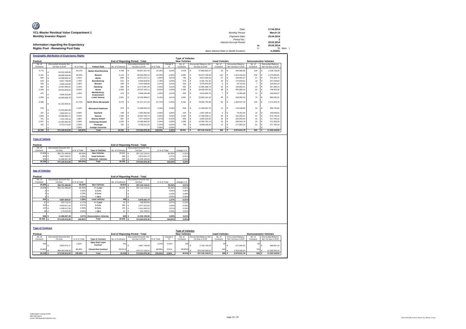| V                                        | Date:                                 |    | 17.04.2014 |
|------------------------------------------|---------------------------------------|----|------------|
| VCL-Master Residual Value Compartment 1  | Monthly Period:                       |    | March 14   |
| <b>Monthly Investor Report</b>           | Payment Date:                         |    | 25.04.2014 |
|                                          | Period No.:                           |    |            |
|                                          | Interest Accrual Period:              |    | 25.03.2014 |
| Information regarding the Expectancy     |                                       | to | 25.04.2014 |
| <b>Rights Pool - Remaining Pool Data</b> |                                       |    | 31 days    |
|                                          | Base Interest Rate (1-Month Euribor): |    | 0.2390%    |

|           |       | <b>Geographic distribution of Expectancy Rights</b> |            |                               |                  |                                        |            |           |                         |            |                               |                      |            |                           |                               |                           |
|-----------|-------|-----------------------------------------------------|------------|-------------------------------|------------------|----------------------------------------|------------|-----------|-------------------------|------------|-------------------------------|----------------------|------------|---------------------------|-------------------------------|---------------------------|
|           |       |                                                     |            |                               |                  |                                        |            |           | <b>Type of Vehicles</b> |            |                               |                      |            |                           |                               |                           |
| Poolcut   |       |                                                     |            |                               |                  | <b>End of Reporting Period - Total</b> |            |           | <b>New Vehicles</b>     |            |                               | <b>Used Vehicles</b> |            |                           | <b>Demonstration Vehicles</b> |                           |
| No. of    |       | <b>Discounted Amounts Not</b>                       |            |                               |                  | <b>Discounted Amounts Not</b>          |            | change in | No. of                  |            | <b>Discounted Balance Not</b> | No. of               |            | <b>Discounted Balance</b> | No. of                        | <b>Discounted Balance</b> |
| Contracts |       | Yet Due in EUR                                      | % of Total | <b>Federal State</b>          | No. of Contracts | Yet Due in EUR                         | % of Total | %         | Contracts               |            | Yet Due in EUR                | Contracts            |            | Not Yet Due in EUR        | Contracts                     | Not Yet Due in EUR        |
| 4.770     |       | 60.252.646.86                                       | 16.15%     | <b>Baden-Wuerttemberg</b>     | 4.766            | 60.637.207.42                          | 16.19%     | 0.04%     | 4.578                   | €          | 57.880.862.47                 | 53                   | $\epsilon$ | 646,586.90                | 135                           | 2.109.758.05              |
| 5.151     |       | 68,588,546.89                                       | 18.38%     | Bavaria                       | 5.123            | 68.663.890.14                          | 18.33%     | $-0.05%$  | 4.845                   | €          | 64.973.798.69                 | 122                  | $\epsilon$ | 1.414.440.64              | 156                           | 2.275.650.81              |
|           | 843   | 10.488.665.42                                       | 2.81%      | <b>Berlin</b>                 | 844              | 10.572.517.21                          | 2.82%      | 0.01%     | 790                     | $\epsilon$ | 9.872.290.42                  | 27                   |            | 326,901.07                | 27                            | 373,325.72                |
|           | 619   | 6,657,748.08                                        | 1.78%      | <b>Brandenburg</b>            | 615              | 6.664.818.05                           | 1.78%      | 0.00%     | 579                     |            | 6.281.791.43                  | 18                   |            | 175,818.02                | 18                            | 207,208.60                |
|           | 334   | 3.969.144.69                                        | 1.06%      | <b>Bremen</b>                 | 336              | 4.014.599.66                           | 1.07%      | 0.01%     | 326                     | $\epsilon$ | 3,879,904.83                  |                      |            | 34.132.60                 |                               | 100.562.23                |
|           | 962   | 12.087.864.52                                       | 3.24%      | Hamburg                       | 965              | 12.172.667.50                          | 3.25%      | 0.01%     | 932                     |            | 11.685.389.74                 | 10                   |            | 149.892.61                | 23                            | 337, 385, 15              |
| 2.346     |       | 29.934.508.53                                       | 8.02%      | Hesse                         | 2.340            | 30.037.423.11                          | 8.02%      | 0.00%     | 2.250                   |            | 28.833.391.62                 | 38                   |            | 455.968.19                | 52                            | 748,063.30                |
|           | 475   | 5.005.323.84                                        | 1.34%      | Mecklenburg-<br>Vorpommern    | 475              | 5.046.544.98                           | 1.35%      | 0.01%     | 456                     | $\epsilon$ | 4.814.084.72                  |                      |            | 71,895.99                 | 12                            | 160.564.27                |
| 2.959     |       | 34.000.958.78                                       | 9.11%      | <b>Lower Saxony</b>           | 2.951            | 34.182.986.67                          | 9.13%      | 0.01%     | 2.842                   | $\epsilon$ | 32.860.161.32                 | 39                   |            | 438.280.34                | 70                            | 884,545.01                |
| 6,598     |       | 81.163.359.41                                       | 21.75%     | <b>North Rhine-Westphalia</b> | 6,574            | 81.317.217.23                          | 21,71%     | $-0.04%$  | 6,315                   | $\epsilon$ | 78.080.750.38                 | 93                   | €          | 1.064.647.10              | 166                           | 2.171.819.75              |
|           | 978   | 11.915.894.48                                       | 3.19%      | <b>Rhineland-Palatinate</b>   | 973              | 11.946.052.53                          | 3.19%      | 0.00%     | 928                     | $\epsilon$ | 11.359.651.75                 | 12                   | €          | 122.649.96                | 33                            | 463,750.82                |
|           | 167   | 2.093.337.11                                        | 0.56%      | Saarland                      | 166              | 2.082.992.66                           | 0.56%      | 0.00%     | 153                     | $\epsilon$ | 1.847.105.41                  |                      |            | 79.281.44                 | 10                            | 156,605.81                |
|           | 1.604 | 18,388,863.72                                       | 4.93%      | Saxonv                        | 1.606            | 18,557,528,74                          | 4.95%      | 0.03%     | 1.535                   | $\epsilon$ | 17,658,309.11                 | 29                   |            | 322.484.21                | 42                            | 576,735.42                |
|           | 701   | 7.376.784.14                                        | 1.98%      | Saxony-Anhalt                 | 697              | 7.377.618.64                           | 1.97%      | $-0.01%$  | 659                     |            | 6.940.320.65                  | 18                   |            | 220.054.84                | 20                            | 217.243.15                |
| 1.047     |       | 12.460.092.56                                       | 3.34%      | <b>Schleswig-Holstein</b>     | 1.043            | 12.495.800.20                          | 3.34%      | 0.00%     | 1.005                   | $\epsilon$ | 12.054.782.13                 | 15                   |            | 169.924.78                | 23                            | 271.093.29                |
|           | 782   | 8,723,173,03                                        | 2.34%      | <b>Thuringia</b>              | 781              | 8.755.011.62                           | 2.34%      | 0.00%     | 738                     |            | 8.099.539.34                  | 12                   |            | 177,683.10                | 31                            | 477.789.18                |
|           |       |                                                     | 0.00%      | <b>Foreian Countries</b>      |                  |                                        | 0.00%      | 0.00%     |                         |            |                               |                      |            |                           |                               |                           |
| 30,336    |       | 373,106,912.06                                      | 100.00%    | <b>Total</b>                  | 30.255           | 374,524,876,36                         | 100.00%    | 0.00%     | 28.931                  |            | 357.122.134.01                | 499                  | ¢          | 5.870.641.79              | 825                           | 11.532.100.56             |

#### **Type of Vehicle**

| Poolcut           |                        |               |                           | <b>End of Reporting Period - Total</b> |    |                        |               |             |  |  |
|-------------------|------------------------|---------------|---------------------------|----------------------------------------|----|------------------------|---------------|-------------|--|--|
| No. of            | Discounted Amounts Not |               |                           |                                        |    | Discounted Amounts Not |               |             |  |  |
| Contracts         | Yet Due                | in % of Total | <b>Type of Vehicles</b>   | No. of Contracts                       |    | Yet Due                | in % of Total | change in % |  |  |
| 29.006 €          | 355,751,383,60         | 95.35%        | <b>New Vehicles</b>       | 28.931 €                               |    | 357.122.134.01         | 95.35%        | 0.01%       |  |  |
| 504 €             | 5.887.060.97           | 1.58%         | <b>Used Vehicles</b>      | 499                                    | ۱€ | 5.870.641.79           | 1.57%         | $-0.01%$    |  |  |
| 826 €             | 11.468.467.49          | 3.07%         | <b>Demonstr.</b> Vehicles | 825                                    |    | 11.532.100.56          | 3.08%         | 0.01%       |  |  |
| 30.336 $\epsilon$ | 373,106,912.06         | 100.00%       | <b>Total</b>              | 30.255                                 |    | 374,524,876,36         | 100.00%       | 0.00%       |  |  |

| Poolcut<br>No. of |            | <b>Discounted Amounts Not</b> |               |                              | <b>End of Reporting Period - Total</b> |   | <b>Discounted Amounts Not</b> |               |             |
|-------------------|------------|-------------------------------|---------------|------------------------------|----------------------------------------|---|-------------------------------|---------------|-------------|
| Contracts         |            | Yet Due                       | in % of Total |                              | No. of Contracts                       |   | Yet Due                       | in % of Total | change in % |
| 29.006            | $\epsilon$ | 355,751,383,60                | 95,35%        | <b>New Vehicles</b>          | $28.931$ $6$                           |   | 357.122.134.01                | 95.35%        | 0.01%       |
| 29.006            | $\epsilon$ | 355,751,383.60                | 95.35%        | $= 1$ year                   | 28.931                                 |   | 357.122.134.01                | 95.35%        | 0.01%       |
| Ò                 | €          |                               | 0,00%         | $1-2$ yrs                    |                                        |   | ٠                             | 0.00%         | 0.00%       |
| n                 |            |                               | 0,00%         | $2-3$ yrs                    |                                        |   | ٠                             | 0.00%         | 0.00%       |
| o                 | €          |                               | 0.00%         | > 3yrs                       | $\sim$                                 | € | ٠                             | 0.00%         | 0,00%       |
| 504               | €          | 5.887.060,97                  | 1,58%         | <b>Used vehicles</b>         | 499 €                                  |   | 5,870,641.79                  | 1.57%         | $-0,01%$    |
| 57                | €          | 633,716.10                    | 0,17%         | $= 1$ year                   | 26                                     |   | 258,863.95                    | 0.07%         | $-0.10%$    |
| 315               | €          | 3.634.017.26                  | 0,97%         | $1-2$ yrs                    | 306                                    |   | 3.477.913.60                  | 0.93%         | $-0.05%$    |
| 104               | €          | 1.439.417.58                  | 0,39%         | $2-3$ yrs                    | 135                                    |   | 1.911.094.33                  | 0.51%         | 0.12%       |
| 28                | -6         | 179.910.03                    | 0.05%         | > 3yrs                       | 32                                     |   | 222,769.91                    | 0.06%         | 0,01%       |
| 826               | - 4        | 11,468,467.49                 | 3,07%         | <b>Demonstation Vehicles</b> | 825 €                                  |   | 11,532,100,56                 | 3.08%         | 0.01%       |
| 30.336            | ¢          | 373,106,912.06                | 100.00%       | <b>Total</b>                 | 30.255                                 | € | 374,524,876,36                | 100.00%       | 0,00%       |

| . <u>.</u> .                                      |                               |               |                            |                  |                               |            |           | <b>Type of Vehicles</b> |                               |                               |                           |           |                           |
|---------------------------------------------------|-------------------------------|---------------|----------------------------|------------------|-------------------------------|------------|-----------|-------------------------|-------------------------------|-------------------------------|---------------------------|-----------|---------------------------|
| Poolcut<br><b>End of Reporting Period - Total</b> |                               |               |                            |                  |                               |            |           |                         | <b>New Vehicles</b>           | <b>Demonstration Vehicles</b> |                           |           |                           |
| No. of                                            | <b>Discounted Amounts Not</b> |               |                            |                  | <b>Discounted Amounts Not</b> |            | change in | No. a                   | <b>Discounted Balance Not</b> | No. of                        | <b>Discounted Balance</b> | No. of    | <b>Discounted Balance</b> |
| Contracts                                         | Yet Due                       | in % of Total | <b>Type of Contract</b>    | No. of Contracts | Yet Due in EUR                | % of Total |           | Contracts               | Yet Due in EUR                | Contracts                     | Not Yet Due in EUR        | Contracts | Not Yet Due in EUR        |
| 444                                               | 3.823.475.77                  | 1.02%         | Open End Lease<br>Contract | 441              | 3,807,745,89                  | 1.02%      | $-0.01%$  | 325                     | 2.793.743.20                  |                               | 517.945.55                | 62        | 496.057.14                |
| 29.892                                            | 369.283.436.29                | 98.98%        | <b>Closed End Contract</b> | 29.814 €         | 370.717.130.47                | 98.98%     | 0.01%     | 28.606 €                | 354,328,390.81                |                               | 5.352.696.24              | 763       | 11.036.043.42             |
| 30,336                                            | 373,106,912.06                | 100.00%       | <b>Total</b>               | $30.255$ $6$     | 374,524,876,36                | 100,00%    | 0.00%     | 28.931                  | 357.122.134.01                | 499 €                         | 5,870,641.79              | 825       | 11.532.100,56             |
|                                                   |                               |               |                            |                  |                               |            |           |                         |                               |                               |                           |           |                           |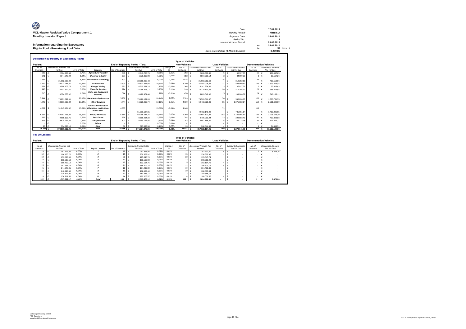| O                                                    |                                       |     |            |
|------------------------------------------------------|---------------------------------------|-----|------------|
|                                                      | Date:                                 |     | 17.04.2014 |
| VCL-Master Residual Value Compartment 1              | Monthly Period:                       |     | March 14   |
| <b>Monthly Investor Report</b>                       | Payment Date:                         |     | 25.04.2014 |
|                                                      | Period No.:                           |     |            |
|                                                      | Interest Accrual Period:              |     | 25.03.2014 |
| Information regarding the Expectancy                 |                                       | to  | 25.04.2014 |
| <b>Rights Pool - Remaining Pool Data</b>             |                                       | $=$ | 31 days    |
|                                                      | Base Interest Rate (1-Month Euribor): |     | 0.2390%    |
| <b>Distribution by Industry of Expectancy Rights</b> |                                       |     |            |

|                                                                                                                                                                                       | Distribution by Industry of Expectancy Rights<br><b>Type of Vehicles</b> |                |                                                                                 |                                                               |                               |                |                |           |                                    |                               |                                    |                |                               |
|---------------------------------------------------------------------------------------------------------------------------------------------------------------------------------------|--------------------------------------------------------------------------|----------------|---------------------------------------------------------------------------------|---------------------------------------------------------------|-------------------------------|----------------|----------------|-----------|------------------------------------|-------------------------------|------------------------------------|----------------|-------------------------------|
| Poolcut                                                                                                                                                                               |                                                                          |                |                                                                                 | <b>New Vehicles</b><br><b>End of Reporting Period - Total</b> |                               |                |                |           |                                    |                               |                                    |                | <b>Demonstration Vehicles</b> |
| No. of                                                                                                                                                                                | <b>Discounted Amounts Not</b>                                            |                |                                                                                 |                                                               | Discounted Amounts Not        |                | change in      | No. of    | <b>Discounted Amounts Not</b>      | <b>Used Vehicles</b><br>No of | <b>Discounted Amounts</b>          | No of          | Discounted Amounts            |
| Contracts                                                                                                                                                                             | Yet Due                                                                  | in % of Total  | Industry                                                                        | No. of Contracts                                              | Yet Due                       | in % of Tota   | %              | Contracts | Yet Due                            | Contracts                     | Not Yet Due                        | Contracts      | Not Yet Due                   |
| 222                                                                                                                                                                                   | 2,784,300.54<br>€                                                        | 0.75%          | <b>Agriculture/ Forestry</b>                                                    | 222                                                           | ¢<br>2.843.785.76             | 0.76%          | $-0.01%$       | 202       | 2.609.080.36<br>$\epsilon$         | $\mathfrak s$                 | $\epsilon$<br>46.767.55            | 15             | €<br>187.937.85               |
| 371                                                                                                                                                                                   | €<br>4.644.840.94                                                        | 1.24%          | <b>Chemical Industry</b>                                                        | 387                                                           | €<br>4.876.362.98             | 1,30%          | $-0.06%$       | 382       | 4.807.796.14<br>€                  | $\overline{2}$                | 34.999.58<br>€                     | 3              | ¢<br>33,567.26                |
| 1.657                                                                                                                                                                                 | ¢<br>21.812.026.49                                                       | 5.85%          | <b>Information Technology</b>                                                   | 1.692                                                         | É.<br>22.369.068.43           | 5.97%          | $-0.13%$       | 1.638     | c<br>21.653.262,69                 | 25                            | €<br>312.252.18                    | 29             | c<br>403.553.56               |
| 3.429                                                                                                                                                                                 | ¢<br>39.973.241.81                                                       | 10.71%         | Construction                                                                    | 3.390                                                         | ¢<br>39.801.364.93            | 10.63%         | 0.09%          | 3.190     | $\epsilon$<br>37,403,906.82        | 74                            | $\epsilon$<br>803.999.63           | 126            | c<br>1.593.458.48             |
| 351                                                                                                                                                                                   | ¢<br>3.960.102.73                                                        | 1.06%          | <b>Energy/Mining</b>                                                            | 371                                                           | ¢<br>4.210.681.23             | 1,12%          | $-0.06%$       | 366       | €<br>4.141.234.81                  | $\overline{\mathbf{3}}$       | $\epsilon$<br>37.027.79            | $\overline{2}$ | c<br>32.418.63                |
| 993                                                                                                                                                                                   | ¢<br>14.402.522.51                                                       | 3.86%          | <b>Financial Services</b>                                                       | 974                                                           | ¢<br>14.056.998.17            | 3,75%          | 0.11%          | 918       | €<br>13.279.199.26                 | 28                            | $\epsilon$<br>419.385.33           | 28             | ¢<br>358.413.58               |
| 515                                                                                                                                                                                   | €<br>6.374.870.02                                                        | 1.71%          | <b>Hotel and Restaurant</b><br>Industry                                         | 514                                                           | ¢<br>6.428.971.40             | 1,72%          | $-0.01%$       | 470       | 5.883.549.90<br>€                  | 15                            | $\epsilon$<br>199,288.39           | 29             | c<br>346.133.11               |
| 5.944                                                                                                                                                                                 | €<br>75.271.699.01                                                       | 20.17%         | <b>Manufacturing Industry</b>                                                   | 5.939                                                         | Ė<br>75.426.134.09            | 20.149         | 0.04%          | 5.789     | 73.503.511.87                      | 50                            | ¢<br>538,890.67                    | 100            | ¢<br>1.383.731.55             |
| 4.746                                                                                                                                                                                 | €<br>63.591.923.84                                                       | 17.04%         | <b>Other Services</b>                                                           | 4.744                                                         | ¢<br>64.026.060.74            | 17.109         | $-0.05%$       | 4.500     | 60.418.529.80<br>€                 | 85                            | 1.075.832.14<br>c                  | 159            | ¢<br>2,531,698.80             |
| 4.862                                                                                                                                                                                 | 51.645.484.62<br>€                                                       | 13.84%         | <b>Public Administration.</b><br><b>Education, Health Care.</b><br>Public Serv. | 4.837                                                         | ¢<br>51.981.127.31            | 13.88%         | $-0.04%$       | 4.648     | 49.752.149.22<br>€                 | 71                            | ¢<br>735.951.14                    | 118            | €<br>1.493.026.95             |
| 5.557                                                                                                                                                                                 | €<br>69.081.738.04                                                       | 18.52%         | Retail/ Wholesale                                                               | 5.514                                                         | ¢<br>69.068.644.75            | 18.449         | 0.07%          | 5.269     | €<br>65.654.100.92                 | 103                           | $\epsilon$<br>1.185.965.64         | 142            | ¢<br>2.228.578.19             |
| 833                                                                                                                                                                                   | €<br>9.655.103.75                                                        | 2.59%          | <b>Real Estate</b>                                                              | 828                                                           | €<br>9,568,964.22             | 2,55%          | 0.03%          | 764       | €<br>8,786,011.94                  | 23                            | $\epsilon$<br>292.558.40           | 41             | €<br>490.393.88               |
| 823                                                                                                                                                                                   | €<br>9.574.237.66                                                        | 2.57%          | Transportation                                                                  | 807                                                           | €<br>9.469.174,45             | 2.53%          | 0.04%          | 762       | €<br>8.867.155.89                  | 15                            | €<br>187.723.35                    | 30             | c<br>414.295.21               |
|                                                                                                                                                                                       | ¢                                                                        | 0.00%          | Private                                                                         |                                                               | ¢                             | 0.00%          | 0.00%          |           | €                                  | $\sim$                        | €                                  |                | €                             |
| 33                                                                                                                                                                                    | Ġ<br>334.820.10                                                          | 0.09%          | Other                                                                           | 36                                                            | 397.537.90                    | 0.119          | $-0.029$       | 33        | €<br>362.644.39                    |                               | ¢                                  | 3              | c<br>34,893.51                |
| 30.336                                                                                                                                                                                | 373,106,912.06                                                           | 100.00%        | Total                                                                           | 30.255                                                        | 374,524,876,36<br>c           | 100.00%        | 0.00%          | 28,931    | c<br>357.122.134.01                | 499                           | $\epsilon$<br>5,870,641.79         | 825            | c<br>11.532.100.56            |
| <b>Top 10 Lessees</b><br><b>Type of Vehicles</b><br><b>New Vehicles</b><br><b>End of Reporting Period - Total</b><br><b>Used Vehicles</b><br>Poolcut<br><b>Demonstration Vehicles</b> |                                                                          |                |                                                                                 |                                                               |                               |                |                |           |                                    |                               |                                    |                |                               |
| No. of                                                                                                                                                                                | <b>Discounted Amounts Not</b>                                            |                |                                                                                 |                                                               | <b>Discounted Amounts Not</b> |                | change in      | No of     | <b>Discounted Amounts Not</b>      | No of                         | <b>Discounted Amounts</b>          | No. of         | <b>Discounted Amounts</b>     |
| Contracts                                                                                                                                                                             | Yet Due                                                                  | in % of Total  | <b>Top 10 Lessees</b>                                                           | No. of Contracts                                              | Yet Due                       | in % of Tota   | %              | Contracts | Yet Due                            | Contracts                     | Not Yet Due                        | Contracts      | Not Yet Due                   |
| 19                                                                                                                                                                                    | 183.113.02<br>€                                                          | 0.05%          |                                                                                 | 18                                                            | ¢<br>261.875.46               | 0.079          | 0.02%          | 17        | €<br>253.497.20                    |                               | ¢                                  |                | ¢<br>8.378.26                 |
| 12                                                                                                                                                                                    | €<br>166,130.70                                                          | 0.04%          | $\overline{2}$                                                                  | 15                                                            | €<br>256,369.92               | 0.07%          | 0.02%          | 15        | 256,369.92<br>€                    |                               | ¢<br>×.                            |                | c                             |
| 18                                                                                                                                                                                    | ¢<br>153,820.95                                                          | 0.04%          | 3                                                                               | 22                                                            | ¢<br>195,545.74               | 0.05%          | 0.01%          | 22        | 195,545.74<br>€                    | $\sim$                        | €                                  |                | ¢                             |
| 8                                                                                                                                                                                     | €<br>153,638.53                                                          | 0.04%          |                                                                                 | 13                                                            | Ė<br>193,563.92               | 0.05%          | 0.01%          | 13        | 193,563.92<br>€                    | $\sim$                        | ¢                                  | ٠              | c<br>٠                        |
| 10                                                                                                                                                                                    | ¢<br>150.429.12                                                          | 0.04%          | 5                                                                               | 15                                                            | Ė<br>192.114,75               | 0,059          | 0.01%          | 15        | 192.114.75<br>€                    | $\sim$                        | ¢<br>$\overline{\phantom{a}}$      |                | ¢<br>÷                        |
| 15                                                                                                                                                                                    | €<br>147.661,79                                                          | 0.04%          | 6                                                                               | 11                                                            | €<br>186,509.16               | 0.05%          | 0.01%          | 11        | 186,509.16<br>€                    |                               | ¢                                  |                | €                             |
| 5                                                                                                                                                                                     | €<br>144.948.01                                                          | 0.04%          | 7                                                                               | 19                                                            | €<br>184.439.39               | 0,05%          | 0.01%          | 19        | 184.439.39<br>€                    |                               | ¢                                  |                | É                             |
| 15<br>11                                                                                                                                                                              | ¢<br>142.298.50                                                          | 0.04%          | $\boldsymbol{s}$                                                                | 10                                                            | ¢<br>182.603.44<br>Ė          | 0.05%<br>0.05% | 0.01%<br>0.01% | 10        | €<br>182,603.44                    |                               | ¢<br>×.                            |                | ¢<br>÷                        |
| $\mathbf{Q}$                                                                                                                                                                          | €<br>138.814.97<br>¢<br>136.911.58                                       | 0.04%<br>0.04% | $\mathbf{Q}$<br>10                                                              | 13<br>14                                                      | 180.346.77<br>¢<br>180,006.57 | 0.05%          | 0.01%          | 13<br>14  | 180.346.77<br>€<br>180,006.57<br>€ |                               | ¢<br>€<br>$\overline{\phantom{a}}$ |                | c<br>٠<br>¢                   |
| 122                                                                                                                                                                                   | 1.517.767.17<br>¢                                                        | 0.41%          | Total                                                                           | 150                                                           | €<br>2.013.375,12             | 0.67%          | 0.13%          | 149       | 2.004.996.86<br>€                  | ٠                             | €<br>$\overline{\phantom{a}}$      | $\overline{1}$ | 8,378.26<br>¢                 |
|                                                                                                                                                                                       |                                                                          |                |                                                                                 |                                                               |                               |                |                |           |                                    |                               |                                    |                |                               |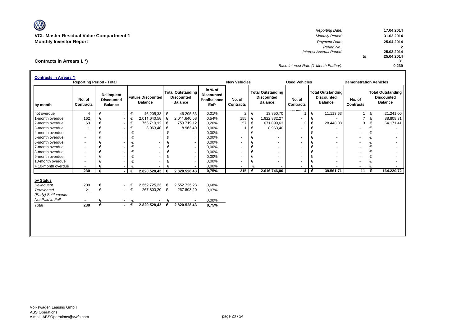V **VCL-Master Residual Value Compartment 1** *Monthly Period:* **31.03.2014**

**Contracts in Arrears I. \*)**

*Reporting Date:* **17.04.2014 Monthly Investor Report** *Payment Date:* **25.04.2014** *Period No.:* **2** *Interest Accrual Period:* **20.03.2014 to 25.04.2014 31** *Base Interest Rate (1-Month Euribor):* **0,239**

| <b>Contracts in Arrears *)</b>                                                                     |                                 |                  |                                                          |                                           |                                            |                  |                                                                 |                                                           |                            |   |                                                                 |                            |   |                                                                 |                               |   |                                                                 |
|----------------------------------------------------------------------------------------------------|---------------------------------|------------------|----------------------------------------------------------|-------------------------------------------|--------------------------------------------|------------------|-----------------------------------------------------------------|-----------------------------------------------------------|----------------------------|---|-----------------------------------------------------------------|----------------------------|---|-----------------------------------------------------------------|-------------------------------|---|-----------------------------------------------------------------|
|                                                                                                    | <b>Reporting Period - Total</b> |                  |                                                          |                                           |                                            |                  |                                                                 |                                                           | <b>New Vehicles</b>        |   |                                                                 | <b>Used Vehicles</b>       |   |                                                                 | <b>Demonstration Vehicles</b> |   |                                                                 |
| by month                                                                                           | No. of<br><b>Contracts</b>      |                  | <b>Delinquent</b><br><b>Discounted</b><br><b>Balance</b> |                                           | <b>Future Discounted</b><br><b>Balance</b> |                  | <b>Total Outstanding</b><br><b>Discounted</b><br><b>Balance</b> | in % of<br><b>Discounted</b><br>Poolbalance<br><b>EoP</b> | No. of<br><b>Contracts</b> |   | <b>Total Outstanding</b><br><b>Discounted</b><br><b>Balance</b> | No. of<br><b>Contracts</b> |   | <b>Total Outstanding</b><br><b>Discounted</b><br><b>Balance</b> | No. of<br><b>Contracts</b>    |   | <b>Total Outstanding</b><br><b>Discounted</b><br><b>Balance</b> |
| not overdue                                                                                        | 4                               | €                | $\blacksquare$                                           | €                                         | 46.205,33                                  | €                | 46.205,33                                                       | 0,01%                                                     | 2                          | € | 13.850,70                                                       | $\mathbf{1}$               | € | 11.113,63                                                       | $\overline{1}$                | € | 21.241,00                                                       |
| 1-month overdue                                                                                    | 162                             |                  | $\overline{\phantom{a}}$                                 | €                                         | 2.011.640,58                               | €                | 2.011.640,58                                                    | 0,54%                                                     | 155                        | € | 1.922.832,27                                                    | ٠                          | € |                                                                 | $\overline{7}$                | € | 88.808,31                                                       |
| 2-month overdue                                                                                    | 63                              | €                | $\blacksquare$                                           | €                                         | 753.719,12                                 | €                | 753.719,12                                                      | 0,20%                                                     | 57                         | € | 671.099,63                                                      | 3                          | € | 28.448,08                                                       | 3                             | € | 54.171,41                                                       |
| 3-month overdue                                                                                    |                                 |                  |                                                          | €                                         | 8.963,40                                   | €                | 8.963,40                                                        | 0,00%                                                     |                            | € | 8.963,40                                                        | ٠                          | € |                                                                 |                               | € |                                                                 |
| 4-month overdue                                                                                    | $\sim$                          | €                |                                                          | €                                         |                                            | €                |                                                                 | 0,00%                                                     | ۰                          | € |                                                                 | ٠                          | € |                                                                 | ٠                             | € |                                                                 |
| 5-month overdue                                                                                    | $\sim$                          | €                |                                                          | €                                         |                                            | €                |                                                                 | 0,00%                                                     | ۰                          | € |                                                                 | ٠                          | € | $\sim$                                                          | $\overline{\phantom{a}}$      | € |                                                                 |
| 6-month overdue                                                                                    | $\overline{\phantom{a}}$        | €                |                                                          | €                                         |                                            | €                | $\sim$                                                          | 0,00%                                                     |                            | € | $\tilde{\phantom{a}}$                                           | -                          | € | $\sim$                                                          |                               | € |                                                                 |
| 7-month overdue                                                                                    | $\sim$                          | €                |                                                          | €                                         |                                            | €                | $\overline{\phantom{0}}$                                        | 0,00%                                                     | ۰                          | € |                                                                 | ٠                          | € |                                                                 |                               | € |                                                                 |
| 8-month overdue                                                                                    | $\sim$                          | €                |                                                          | €                                         |                                            | €                |                                                                 | 0,00%                                                     |                            | € |                                                                 | ٠                          | € |                                                                 |                               | € |                                                                 |
| 9-month overdue                                                                                    | $\overline{\phantom{a}}$        | €                |                                                          | €                                         |                                            | €                | $\sim$                                                          | 0,00%                                                     |                            | € |                                                                 | ٠                          | € |                                                                 |                               | € |                                                                 |
| 10-month overdue                                                                                   | $\sim$                          |                  |                                                          |                                           |                                            |                  |                                                                 | 0,00%                                                     | $\blacksquare$             | € |                                                                 | ٠                          |   |                                                                 |                               | € |                                                                 |
| > 10-month overdue                                                                                 |                                 |                  |                                                          |                                           |                                            |                  |                                                                 | 0,00%                                                     |                            |   |                                                                 | $\overline{\phantom{0}}$   | € |                                                                 | ٠                             | € |                                                                 |
|                                                                                                    | 230                             | €                |                                                          | €                                         | 2.820.528,43                               | €                | 2.820.528,43                                                    | 0,75%                                                     | 215                        | € | 2.616.746,00                                                    | 4 <sup>1</sup>             | € | 39.561,71                                                       | 11                            | € | 164.220,72                                                      |
| by Status<br>Delinquent<br><b>Terminated</b><br>(Early) Settlements -<br>Not Paid in Full<br>Total | 209<br>21<br>230                | €<br>€<br>€<br>€ | $\sim 100$                                               | $ \epsilon$<br>$ \in$<br>€<br>$ \epsilon$ | 2.552.725,23<br>267.803,20<br>2.820.528,43 | €<br>€<br>€<br>€ | 2.552.725,23<br>267.803,20<br>2.820.528,43                      | 0,68%<br>0,07%<br>0,00%<br>0,75%                          |                            |   |                                                                 |                            |   |                                                                 |                               |   |                                                                 |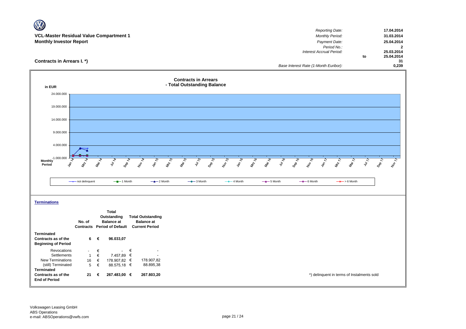| Reporting Date:          |                                       | 17.04.2014 |
|--------------------------|---------------------------------------|------------|
| <b>Monthly Period:</b>   |                                       | 31.03.2014 |
| Payment Date:            |                                       | 25.04.2014 |
| Period No.:              |                                       |            |
| Interest Accrual Period: |                                       | 25.03.2014 |
|                          | to                                    | 25.04.2014 |
|                          |                                       | 31         |
|                          |                                       | 0,239      |
|                          | Base Interest Rate (1-Month Euribor): |            |



**AVA**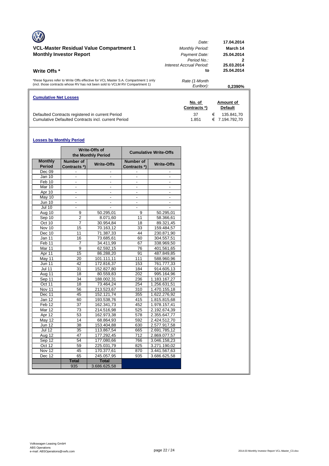| <b>Cumulative Net Losses</b>                                                                                                                                       | No. of<br>Contracts *                            | Amount of<br><b>Default</b>          |
|--------------------------------------------------------------------------------------------------------------------------------------------------------------------|--------------------------------------------------|--------------------------------------|
| *these figures refer to Write Offs effective for VCL Master S.A. Compartment 1 only<br>(incl. those contracts whose RV has not been sold to VCLM RV Compartment 1) | Rate (1-Month<br>Euribor):                       | 0.2390%                              |
| Write Offs *                                                                                                                                                       | Period No.<br>Interest Accrual Period:<br>to     | 2<br>25.03.2014<br>25.04.2014        |
| VCL-Master Residual Value Compartment 1<br><b>Monthly Investor Report</b>                                                                                          | Date:<br><b>Monthly Period:</b><br>Payment Date: | 17.04.2014<br>March 14<br>25.04.2014 |

Defaulted Contracts registered in current Period 37 € 135.841,70 Cumulative Defaulted Contracts incl. current Period 1.851 € 7.194.792,70

## **Losses by Monthly Period**

|                                 |                           | <b>Write-Offs of</b><br>the Monthly Period |                                  | <b>Cumulative Write-Offs</b> |
|---------------------------------|---------------------------|--------------------------------------------|----------------------------------|------------------------------|
| <b>Monthly</b><br><b>Period</b> | Number of<br>Contracts *) | <b>Write-Offs</b>                          | <b>Number of</b><br>Contracts *) | <b>Write-Offs</b>            |
| Dec 09                          |                           |                                            |                                  |                              |
| Jan 10                          | $\overline{a}$            |                                            | $\blacksquare$                   |                              |
| Feb 10                          | $\blacksquare$            |                                            |                                  |                              |
| Mar 10                          |                           |                                            |                                  |                              |
| Apr 10                          | $\overline{\phantom{a}}$  | $\blacksquare$                             | $\overline{\phantom{a}}$         |                              |
| May 10                          | $\blacksquare$            |                                            |                                  |                              |
| <b>Jun 10</b>                   |                           |                                            |                                  |                              |
| <b>Jul 10</b>                   | $\overline{\phantom{a}}$  |                                            | -                                |                              |
| Aug 10                          | 9                         | 50.295,01                                  | 9                                | 50.295,01                    |
| Sep 10                          | $\overline{2}$            | 8.071,60                                   | 11                               | 58.366,61                    |
| Oct 10                          | 7                         | 30.954,84                                  | 18                               | 89.321,45                    |
| Nov 10                          | 15                        | 70.163,12                                  | 33                               | 159.484,57                   |
| Dec 10                          | 11                        | 71.387,33                                  | 44                               | 230.871,90                   |
| Jan 11                          | 16                        | 73.685,61                                  | 60                               | 304.557,51                   |
| Feb 11                          | 7                         | 34.411,99                                  | 67                               | 338.969,50                   |
| Mar <sub>11</sub>               | $\overline{9}$            | $\overline{62}$ .592,15                    | 76                               | 401.561,65                   |
| Apr 11                          | 15                        | 86.288,20                                  | 91                               | 487.849,85                   |
| May 11                          | 20                        | 101.111,11                                 | 111                              | 588.960,96                   |
| <b>Jun 11</b>                   | 42                        | 172.816,37                                 | 153                              | 761.777,33                   |
| <b>Jul 11</b>                   | 31                        | 152.827,80                                 | 184                              | 914.605,13                   |
| Aug 11                          | 18                        | 80.559,83                                  | 202                              | 995.164,96                   |
| Sep $11$                        | 34                        | 188.002,31                                 | 236                              | 1.183.167,27                 |
| Oct 11                          | 18                        | 73.464,24                                  | 254                              | 1.256.631,51                 |
| Nov 11                          | 56                        | 213.523,67                                 | 310                              | 1.470.155,18                 |
| Dec 11                          | 45                        | 152.121,74                                 | 355                              | 1.622.276,92                 |
| Jan 12                          | 60                        | 193.538.76                                 | 415                              | 1.815.815,68                 |
| Feb <sub>12</sub>               | 37                        | 162.341,73                                 | 452                              | 1.978.157,41                 |
| Mar 12                          | 73                        | 214.516.98                                 | 525                              | 2.192.674,39                 |
| Apr 12                          | 53                        | 162.973,38                                 | 578                              | 2.355.647,77                 |
| <b>May 12</b>                   | 14                        | 68.864,93                                  | 592                              | 2.424.512,70                 |
| <b>Jun 12</b>                   | 38                        | 153.404.88                                 | 630                              | 2.577.917,58                 |
| <b>Jul 12</b>                   | 35                        | 113.867,54                                 | 665                              | 2.691.785,12                 |
| Aug 12                          | 47                        | 177.292,45                                 | 712                              | 2.869.077,57                 |
| Sep 12                          | 54                        | 177.080,66                                 | 766                              | 3.046.158.23                 |
| Oct 12                          | 59                        | 225.031,79                                 | 825                              | 3.271.190,02                 |
| Nov 12                          | 45                        | 170.377,61                                 | 870                              | 3.441.567,63                 |
| Dec 12                          | 65                        | 245.057,95                                 | 935                              | 3.686.625,58                 |
|                                 | <b>Total</b>              | <b>Total</b>                               |                                  |                              |
|                                 | 935                       | 3.686.625,58                               |                                  |                              |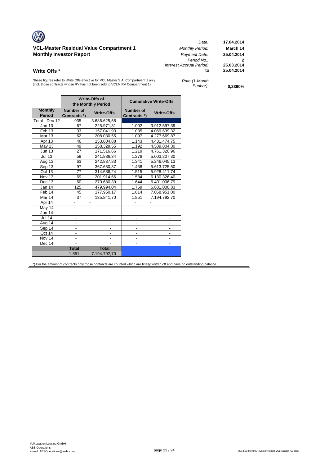### **VCL-Master Residual Value Compartment 1** *Monthly Period:* **March 14 Monthly Investor Report** *Payment Date:* **25.04.2014**

*Date:* **17.04.2014** *Period No.:* **2** *Interest Accrual Period:* **25.03.2014 Write Offs \* to** 

\*these figures refer to Write Offs effective for VCL Master S.A. Compartment 1 only (incl. those contracts whose RV has not been sold to VCLM RV Compartment 1)

| Rate (1-Month |  |
|---------------|--|
| Euribor):     |  |

*Euribor):* **0,2390%**

|                                 |                                  | Write-Offs of<br>the Monthly Period |                           | <b>Cumulative Write-Offs</b> |
|---------------------------------|----------------------------------|-------------------------------------|---------------------------|------------------------------|
| <b>Monthly</b><br><b>Period</b> | <b>Number of</b><br>Contracts *) | <b>Write-Offs</b>                   | Number of<br>Contracts *) | <b>Write-Offs</b>            |
| Total - Dec 12                  | 935                              | 3.686.625,58                        |                           |                              |
| Jan 13                          | 67                               | 225.971,81                          | 1.002                     | 3.912.597,39                 |
| Feb 13                          | 33                               | 157.041,93                          | 1.035                     | 4.069.639,32                 |
| <b>Mar 13</b>                   | 62                               | 208.030,55                          | 1.097                     | 4.277.669,87                 |
| Apr 13                          | 46                               | 153.804,88                          | 1.143                     | 4.431.474,75                 |
| <b>May 13</b>                   | 49                               | 158.329,55                          | 1.192                     | 4.589.804.30                 |
| <b>Jun 13</b>                   | 27                               | 171.516,66                          | 1.219                     | 4.761.320,96                 |
| <b>Jul 13</b>                   | 59                               | 241.886,34                          | 1.278                     | 5.003.207,30                 |
| Aug 13                          | 63                               | 242.837.83                          | 1.341                     | 5.246.045,13                 |
| Sep $13$                        | 97                               | 367.680,37                          | 1.438                     | 5.613.725,50                 |
| Oct 13                          | 77                               | 314.686,24                          | 1.515                     | 5.928.411,74                 |
| Nov 13                          | 69                               | 201.914,66                          | 1.584                     | 6.130.326,40                 |
| Dec 13                          | 60                               | 270.680,39                          | 1.644                     | 6.401.006,79                 |
| Jan 14                          | 125                              | 479.994,04                          | 1.769                     | 6.881.000,83                 |
| Feb 14                          | 45                               | 177.950,17                          | 1.814                     | 7.058.951,00                 |
| Mar 14                          | $\overline{37}$                  | 135.841,70                          | 1.851                     | 7.194.792,70                 |
| Apr 14                          | $\overline{\phantom{a}}$         | $\overline{\phantom{a}}$            | $\overline{\phantom{a}}$  | $\overline{\phantom{a}}$     |
| May 14                          |                                  | L,                                  |                           | $\blacksquare$               |
| Jun 14                          |                                  | $\blacksquare$                      | $\overline{\phantom{0}}$  | $\blacksquare$               |
| <b>Jul 14</b>                   | $\frac{1}{2}$                    |                                     |                           |                              |
| Aug 14                          | -                                |                                     |                           |                              |
| Sep 14                          | -                                | $\overline{\phantom{a}}$            | $\overline{\phantom{a}}$  | $\overline{\phantom{a}}$     |
| Oct 14                          |                                  |                                     |                           |                              |
| Nov 14                          | $\overline{\phantom{0}}$         |                                     |                           |                              |
| Dec 14                          |                                  |                                     |                           |                              |
|                                 | <b>Total</b>                     | <b>Total</b>                        |                           |                              |
|                                 | 1.851                            | 7.194.792,70                        |                           |                              |